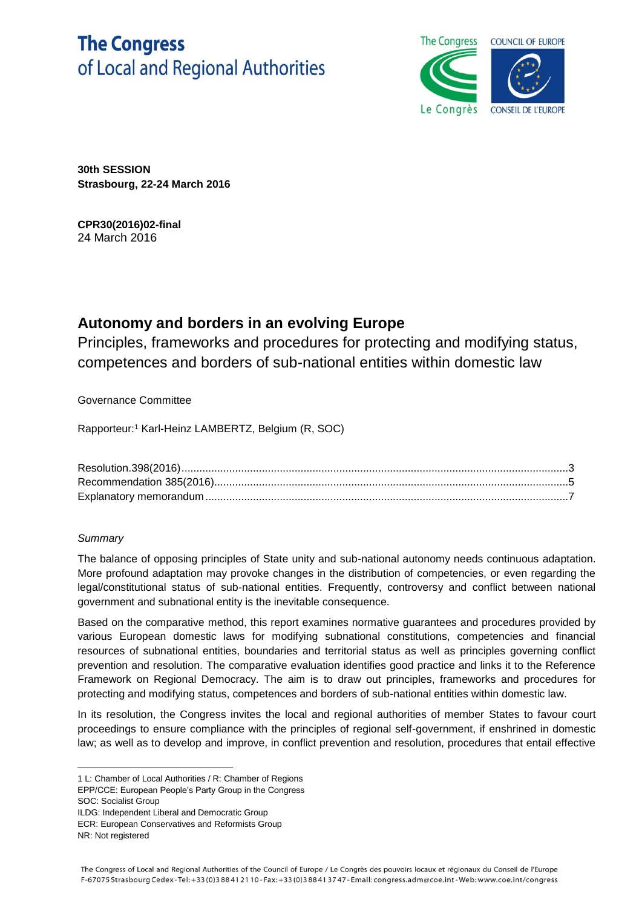# **The Congress** of Local and Regional Authorities



**30th SESSION Strasbourg, 22-24 March 2016**

**CPR30(2016)02-final** 24 March 2016

# **Autonomy and borders in an evolving Europe**

Principles, frameworks and procedures for protecting and modifying status, competences and borders of sub-national entities within domestic law

Governance Committee

Rapporteur:<sup>1</sup> Karl-Heinz LAMBERTZ, Belgium (R, SOC)

# *Summary*

The balance of opposing principles of State unity and sub-national autonomy needs continuous adaptation. More profound adaptation may provoke changes in the distribution of competencies, or even regarding the legal/constitutional status of sub-national entities. Frequently, controversy and conflict between national government and subnational entity is the inevitable consequence.

Based on the comparative method, this report examines normative guarantees and procedures provided by various European domestic laws for modifying subnational constitutions, competencies and financial resources of subnational entities, boundaries and territorial status as well as principles governing conflict prevention and resolution. The comparative evaluation identifies good practice and links it to the Reference Framework on Regional Democracy. The aim is to draw out principles, frameworks and procedures for protecting and modifying status, competences and borders of sub-national entities within domestic law.

In its resolution, the Congress invites the local and regional authorities of member States to favour court proceedings to ensure compliance with the principles of regional self-government, if enshrined in domestic law; as well as to develop and improve, in conflict prevention and resolution, procedures that entail effective

- EPP/CCE: European People's Party Group in the Congress
- SOC: Socialist Group
- ILDG: Independent Liberal and Democratic Group

ECR: European Conservatives and Reformists Group

**<sup>.</sup>** 1 L: Chamber of Local Authorities / R: Chamber of Regions

NR: Not registered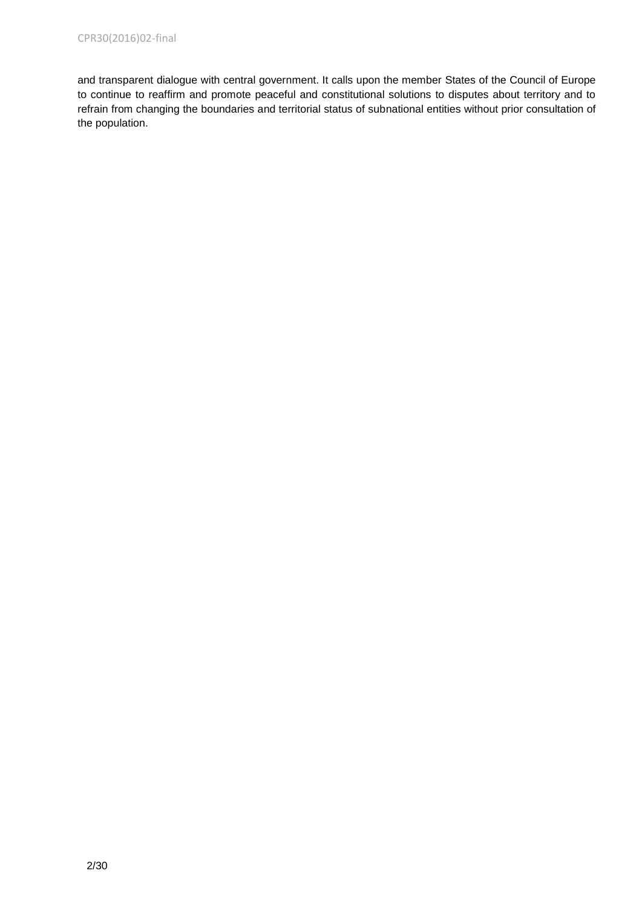and transparent dialogue with central government. It calls upon the member States of the Council of Europe to continue to reaffirm and promote peaceful and constitutional solutions to disputes about territory and to refrain from changing the boundaries and territorial status of subnational entities without prior consultation of the population.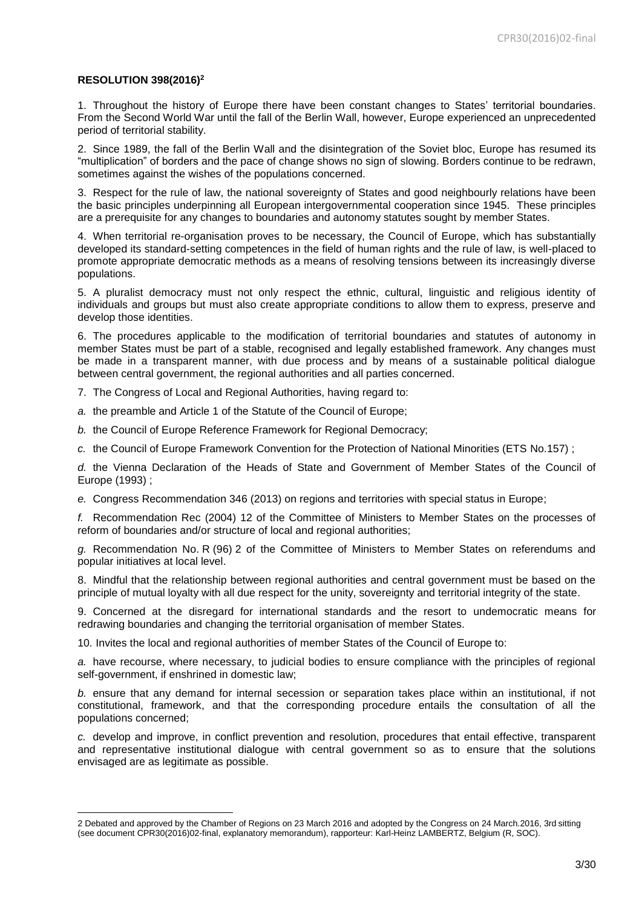#### **RESOLUTION 398(2016)<sup>2</sup>**

1

1. Throughout the history of Europe there have been constant changes to States' territorial boundaries. From the Second World War until the fall of the Berlin Wall, however, Europe experienced an unprecedented period of territorial stability.

2. Since 1989, the fall of the Berlin Wall and the disintegration of the Soviet bloc, Europe has resumed its "multiplication" of borders and the pace of change shows no sign of slowing. Borders continue to be redrawn, sometimes against the wishes of the populations concerned.

3. Respect for the rule of law, the national sovereignty of States and good neighbourly relations have been the basic principles underpinning all European intergovernmental cooperation since 1945. These principles are a prerequisite for any changes to boundaries and autonomy statutes sought by member States.

4. When territorial re-organisation proves to be necessary, the Council of Europe, which has substantially developed its standard-setting competences in the field of human rights and the rule of law, is well-placed to promote appropriate democratic methods as a means of resolving tensions between its increasingly diverse populations.

5. A pluralist democracy must not only respect the ethnic, cultural, linguistic and religious identity of individuals and groups but must also create appropriate conditions to allow them to express, preserve and develop those identities.

6. The procedures applicable to the modification of territorial boundaries and statutes of autonomy in member States must be part of a stable, recognised and legally established framework. Any changes must be made in a transparent manner, with due process and by means of a sustainable political dialogue between central government, the regional authorities and all parties concerned.

7. The Congress of Local and Regional Authorities, having regard to:

*a.* the preamble and Article 1 of the Statute of the Council of Europe;

*b.* the Council of Europe Reference Framework for Regional Democracy;

*c.* the Council of Europe Framework Convention for the Protection of National Minorities (ETS No.157) ;

*d.* the Vienna Declaration of the Heads of State and Government of Member States of the Council of Europe (1993) ;

*e.* Congress Recommendation 346 (2013) on regions and territories with special status in Europe;

*f.* Recommendation Rec (2004) 12 of the Committee of Ministers to Member States on the processes of reform of boundaries and/or structure of local and regional authorities;

*g.* Recommendation No. R (96) 2 of the Committee of Ministers to Member States on referendums and popular initiatives at local level.

8. Mindful that the relationship between regional authorities and central government must be based on the principle of mutual loyalty with all due respect for the unity, sovereignty and territorial integrity of the state.

9. Concerned at the disregard for international standards and the resort to undemocratic means for redrawing boundaries and changing the territorial organisation of member States.

10. Invites the local and regional authorities of member States of the Council of Europe to:

*a.* have recourse, where necessary, to judicial bodies to ensure compliance with the principles of regional self-government, if enshrined in domestic law;

*b.* ensure that any demand for internal secession or separation takes place within an institutional, if not constitutional, framework, and that the corresponding procedure entails the consultation of all the populations concerned;

*c.* develop and improve, in conflict prevention and resolution, procedures that entail effective, transparent and representative institutional dialogue with central government so as to ensure that the solutions envisaged are as legitimate as possible.

<sup>2</sup> Debated and approved by the Chamber of Regions on 23 March 2016 and adopted by the Congress on 24 March.2016, 3rd sitting (see document CPR30(2016)02-final, explanatory memorandum), rapporteur: Karl-Heinz LAMBERTZ, Belgium (R, SOC).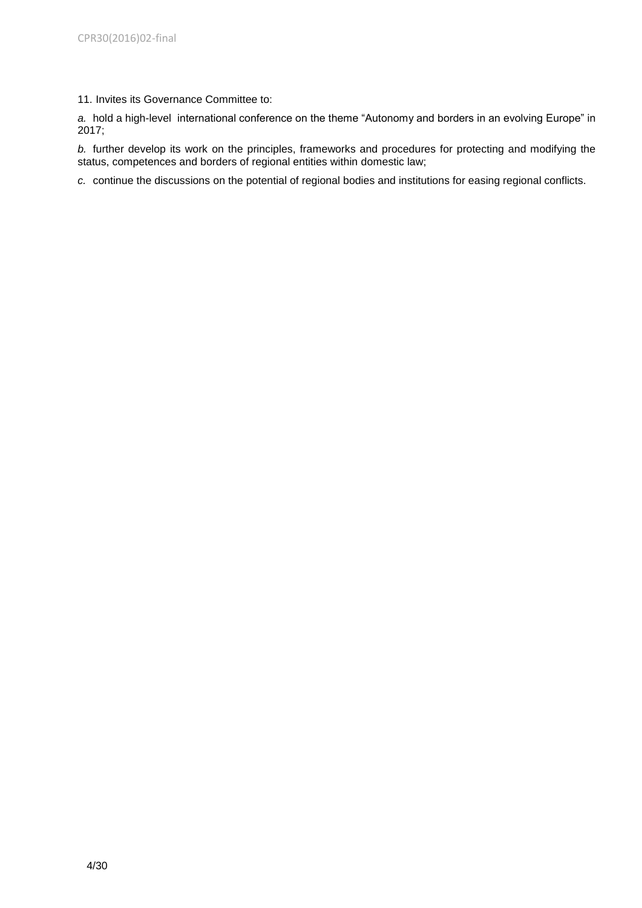11. Invites its Governance Committee to:

*a.* hold a high-level international conference on the theme "Autonomy and borders in an evolving Europe" in 2017;

*b.* further develop its work on the principles, frameworks and procedures for protecting and modifying the status, competences and borders of regional entities within domestic law;

*c.* continue the discussions on the potential of regional bodies and institutions for easing regional conflicts.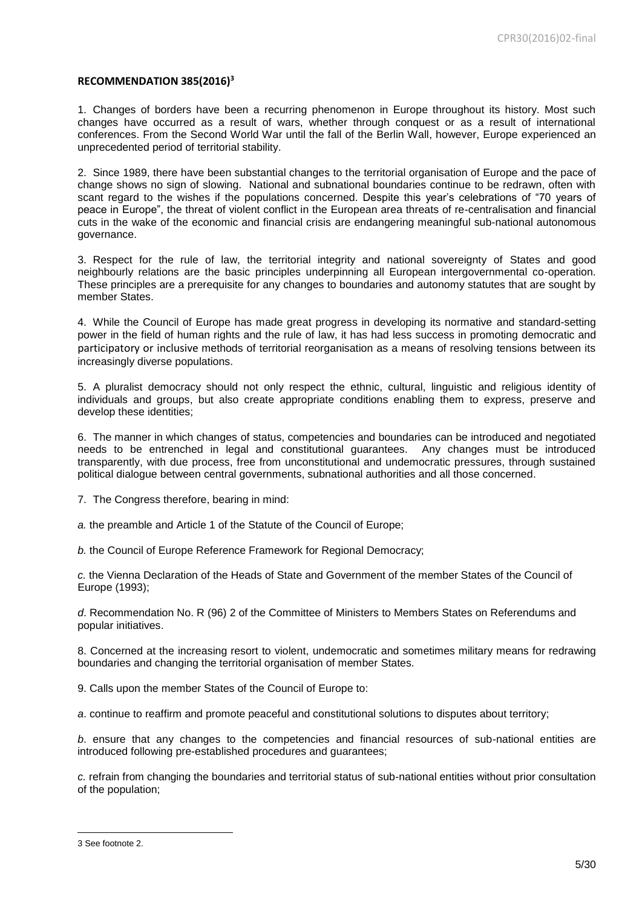#### **RECOMMENDATION 385(2016)<sup>3</sup>**

1. Changes of borders have been a recurring phenomenon in Europe throughout its history. Most such changes have occurred as a result of wars, whether through conquest or as a result of international conferences. From the Second World War until the fall of the Berlin Wall, however, Europe experienced an unprecedented period of territorial stability.

2. Since 1989, there have been substantial changes to the territorial organisation of Europe and the pace of change shows no sign of slowing. National and subnational boundaries continue to be redrawn, often with scant regard to the wishes if the populations concerned. Despite this year's celebrations of "70 years of peace in Europe", the threat of violent conflict in the European area threats of re-centralisation and financial cuts in the wake of the economic and financial crisis are endangering meaningful sub-national autonomous governance.

3. Respect for the rule of law, the territorial integrity and national sovereignty of States and good neighbourly relations are the basic principles underpinning all European intergovernmental co-operation. These principles are a prerequisite for any changes to boundaries and autonomy statutes that are sought by member States.

4. While the Council of Europe has made great progress in developing its normative and standard-setting power in the field of human rights and the rule of law, it has had less success in promoting democratic and participatory or inclusive methods of territorial reorganisation as a means of resolving tensions between its increasingly diverse populations.

5. A pluralist democracy should not only respect the ethnic, cultural, linguistic and religious identity of individuals and groups, but also create appropriate conditions enabling them to express, preserve and develop these identities;

6. The manner in which changes of status, competencies and boundaries can be introduced and negotiated needs to be entrenched in legal and constitutional guarantees. Any changes must be introduced transparently, with due process, free from unconstitutional and undemocratic pressures, through sustained political dialogue between central governments, subnational authorities and all those concerned.

7. The Congress therefore, bearing in mind:

*a.* the preamble and Article 1 of the Statute of the Council of Europe;

*b.* the Council of Europe Reference Framework for Regional Democracy;

*c.* the Vienna Declaration of the Heads of State and Government of the member States of the Council of Europe (1993);

*d*. Recommendation No. R (96) 2 of the Committee of Ministers to Members States on Referendums and popular initiatives.

8. Concerned at the increasing resort to violent, undemocratic and sometimes military means for redrawing boundaries and changing the territorial organisation of member States.

9. Calls upon the member States of the Council of Europe to:

*a*. continue to reaffirm and promote peaceful and constitutional solutions to disputes about territory;

*b*. ensure that any changes to the competencies and financial resources of sub-national entities are introduced following pre-established procedures and guarantees;

*c.* refrain from changing the boundaries and territorial status of sub-national entities without prior consultation of the population;

1

<sup>3</sup> See footnote 2.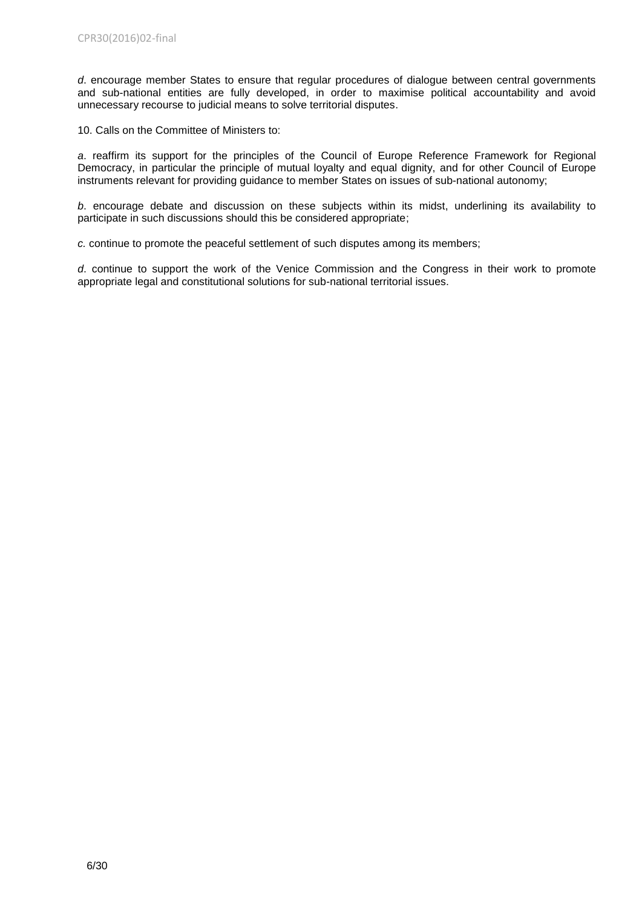*d*. encourage member States to ensure that regular procedures of dialogue between central governments and sub-national entities are fully developed, in order to maximise political accountability and avoid unnecessary recourse to judicial means to solve territorial disputes.

10. Calls on the Committee of Ministers to:

*a*. reaffirm its support for the principles of the Council of Europe Reference Framework for Regional Democracy, in particular the principle of mutual loyalty and equal dignity, and for other Council of Europe instruments relevant for providing guidance to member States on issues of sub-national autonomy;

*b*. encourage debate and discussion on these subjects within its midst, underlining its availability to participate in such discussions should this be considered appropriate;

*c.* continue to promote the peaceful settlement of such disputes among its members;

*d*. continue to support the work of the Venice Commission and the Congress in their work to promote appropriate legal and constitutional solutions for sub-national territorial issues.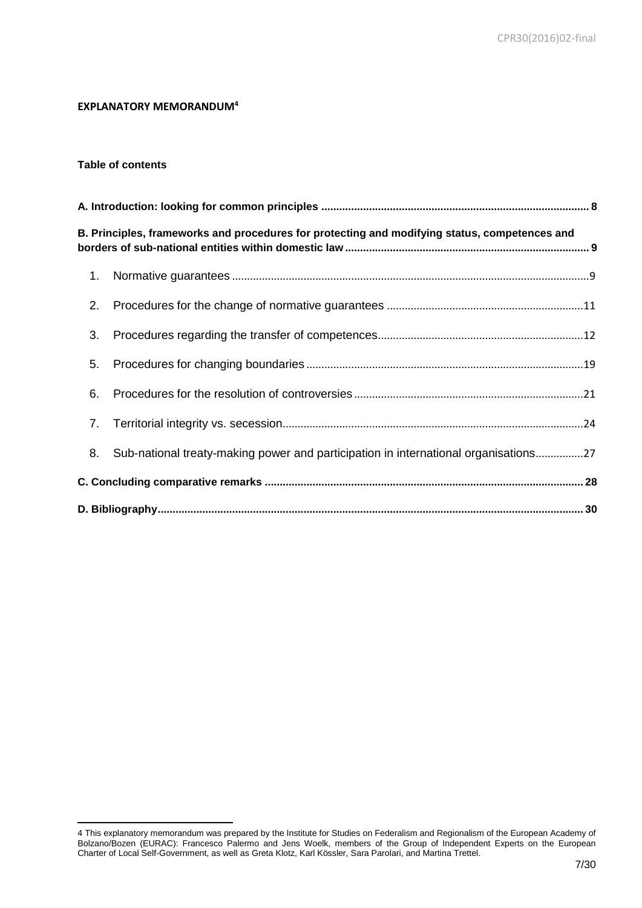# **EXPLANATORY MEMORANDUM<sup>4</sup>**

#### **Table of contents**

|    | B. Principles, frameworks and procedures for protecting and modifying status, competences and |  |
|----|-----------------------------------------------------------------------------------------------|--|
| 1. |                                                                                               |  |
| 2. |                                                                                               |  |
| 3. |                                                                                               |  |
| 5. |                                                                                               |  |
| 6. |                                                                                               |  |
| 7. |                                                                                               |  |
| 8. | Sub-national treaty-making power and participation in international organisations27           |  |
|    |                                                                                               |  |
|    |                                                                                               |  |

**<sup>.</sup>** 4 This explanatory memorandum was prepared by the Institute for Studies on Federalism and Regionalism of the European Academy of Bolzano/Bozen (EURAC): Francesco Palermo and Jens Woelk, members of the Group of Independent Experts on the European Charter of Local Self-Government, as well as Greta Klotz, Karl Kössler, Sara Parolari, and Martina Trettel.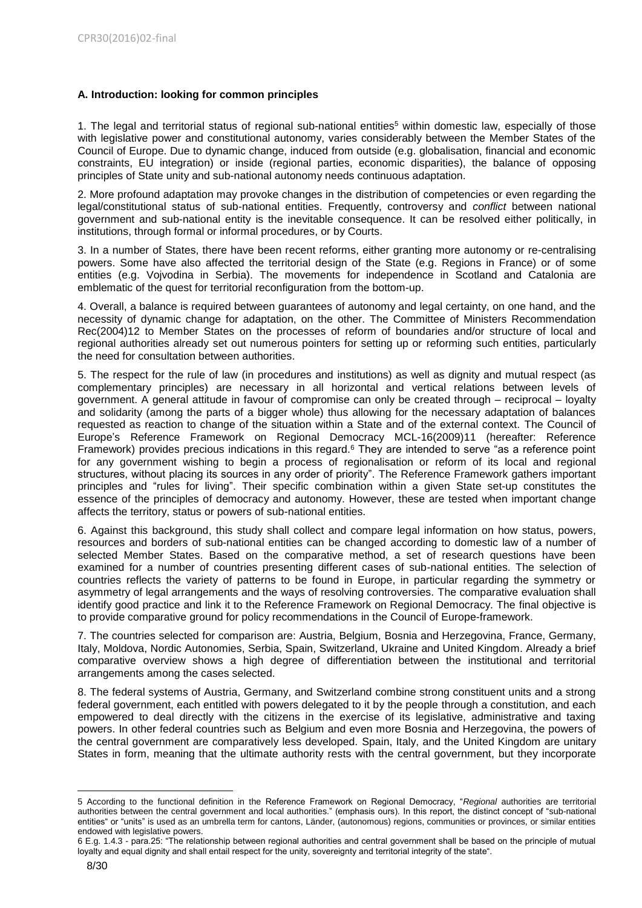# <span id="page-7-0"></span>**A. Introduction: looking for common principles**

1. The legal and territorial status of regional sub-national entities<sup>5</sup> within domestic law, especially of those with legislative power and constitutional autonomy, varies considerably between the Member States of the Council of Europe. Due to dynamic change, induced from outside (e.g. globalisation, financial and economic constraints, EU integration) or inside (regional parties, economic disparities), the balance of opposing principles of State unity and sub-national autonomy needs continuous adaptation.

2. More profound adaptation may provoke changes in the distribution of competencies or even regarding the legal/constitutional status of sub-national entities. Frequently, controversy and *conflict* between national government and sub-national entity is the inevitable consequence. It can be resolved either politically, in institutions, through formal or informal procedures, or by Courts.

3. In a number of States, there have been recent reforms, either granting more autonomy or re-centralising powers. Some have also affected the territorial design of the State (e.g. Regions in France) or of some entities (e.g. Vojvodina in Serbia). The movements for independence in Scotland and Catalonia are emblematic of the quest for territorial reconfiguration from the bottom-up.

4. Overall, a balance is required between guarantees of autonomy and legal certainty, on one hand, and the necessity of dynamic change for adaptation, on the other. The Committee of Ministers Recommendation Rec(2004)12 to Member States on the processes of reform of boundaries and/or structure of local and regional authorities already set out numerous pointers for setting up or reforming such entities, particularly the need for consultation between authorities.

5. The respect for the rule of law (in procedures and institutions) as well as dignity and mutual respect (as complementary principles) are necessary in all horizontal and vertical relations between levels of government. A general attitude in favour of compromise can only be created through – reciprocal – loyalty and solidarity (among the parts of a bigger whole) thus allowing for the necessary adaptation of balances requested as reaction to change of the situation within a State and of the external context. The Council of Europe's Reference Framework on Regional Democracy MCL-16(2009)11 (hereafter: Reference Framework) provides precious indications in this regard.<sup>6</sup> They are intended to serve "as a reference point for any government wishing to begin a process of regionalisation or reform of its local and regional structures, without placing its sources in any order of priority". The Reference Framework gathers important principles and "rules for living". Their specific combination within a given State set-up constitutes the essence of the principles of democracy and autonomy. However, these are tested when important change affects the territory, status or powers of sub-national entities.

6. Against this background, this study shall collect and compare legal information on how status, powers, resources and borders of sub-national entities can be changed according to domestic law of a number of selected Member States. Based on the comparative method, a set of research questions have been examined for a number of countries presenting different cases of sub-national entities. The selection of countries reflects the variety of patterns to be found in Europe, in particular regarding the symmetry or asymmetry of legal arrangements and the ways of resolving controversies. The comparative evaluation shall identify good practice and link it to the Reference Framework on Regional Democracy. The final objective is to provide comparative ground for policy recommendations in the Council of Europe-framework.

7. The countries selected for comparison are: Austria, Belgium, Bosnia and Herzegovina, France, Germany, Italy, Moldova, Nordic Autonomies, Serbia, Spain, Switzerland, Ukraine and United Kingdom. Already a brief comparative overview shows a high degree of differentiation between the institutional and territorial arrangements among the cases selected.

8. The federal systems of Austria, Germany, and Switzerland combine strong constituent units and a strong federal government, each entitled with powers delegated to it by the people through a constitution, and each empowered to deal directly with the citizens in the exercise of its legislative, administrative and taxing powers. In other federal countries such as Belgium and even more Bosnia and Herzegovina, the powers of the central government are comparatively less developed. Spain, Italy, and the United Kingdom are unitary States in form, meaning that the ultimate authority rests with the central government, but they incorporate

<sup>1</sup> 5 According to the functional definition in the Reference Framework on Regional Democracy, "*Regional* authorities are territorial authorities between the central government and local authorities." (emphasis ours). In this report, the distinct concept of "sub-national entities" or "units" is used as an umbrella term for cantons, Länder, (autonomous) regions, communities or provinces, or similar entities endowed with legislative powers.

<sup>6</sup> E.g. 1.4.3 - para.25: "The relationship between regional authorities and central government shall be based on the principle of mutual loyalty and equal dignity and shall entail respect for the unity, sovereignty and territorial integrity of the state".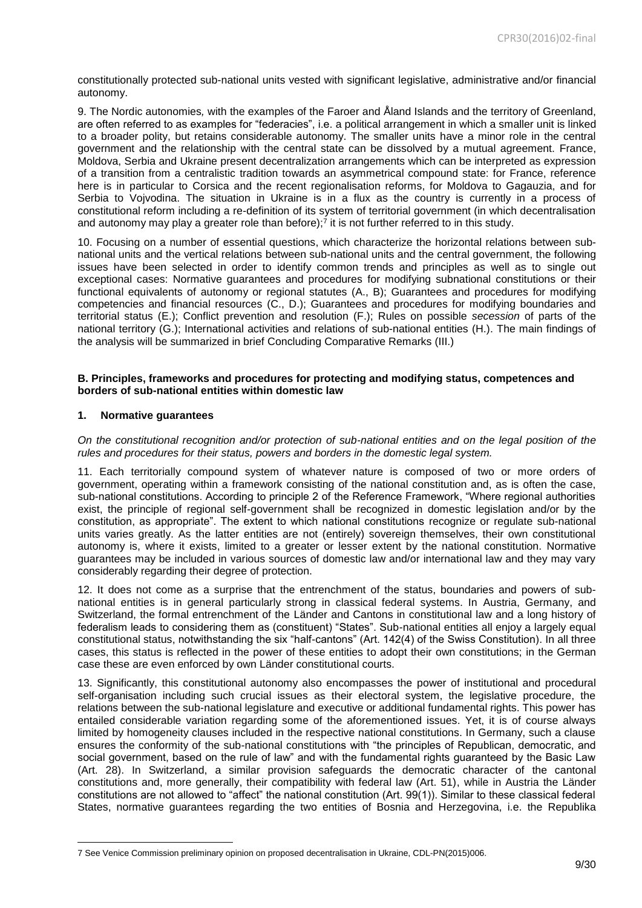constitutionally protected sub-national units vested with significant legislative, administrative and/or financial autonomy.

9. The Nordic autonomies*,* with the examples of the Faroer and Åland Islands and the territory of Greenland, are often referred to as examples for "federacies", i.e. a political arrangement in which a smaller unit is linked to a broader polity, but retains considerable autonomy. The smaller units have a minor role in the central government and the relationship with the central state can be dissolved by a mutual agreement. France, Moldova, Serbia and Ukraine present decentralization arrangements which can be interpreted as expression of a transition from a centralistic tradition towards an asymmetrical compound state: for France, reference here is in particular to Corsica and the recent regionalisation reforms, for Moldova to Gagauzia, and for Serbia to Vojvodina. The situation in Ukraine is in a flux as the country is currently in a process of constitutional reform including a re-definition of its system of territorial government (in which decentralisation and autonomy may play a greater role than before); 7 it is not further referred to in this study.

10. Focusing on a number of essential questions, which characterize the horizontal relations between subnational units and the vertical relations between sub-national units and the central government, the following issues have been selected in order to identify common trends and principles as well as to single out exceptional cases: Normative guarantees and procedures for modifying subnational constitutions or their functional equivalents of autonomy or regional statutes (A., B); Guarantees and procedures for modifying competencies and financial resources (C., D.); Guarantees and procedures for modifying boundaries and territorial status (E.); Conflict prevention and resolution (F.); Rules on possible *secession* of parts of the national territory (G.); International activities and relations of sub-national entities (H.). The main findings of the analysis will be summarized in brief Concluding Comparative Remarks (III.)

#### <span id="page-8-0"></span>**B. Principles, frameworks and procedures for protecting and modifying status, competences and borders of sub-national entities within domestic law**

# <span id="page-8-1"></span>**1. Normative guarantees**

**.** 

*On the constitutional recognition and/or protection of sub-national entities and on the legal position of the rules and procedures for their status, powers and borders in the domestic legal system.* 

11. Each territorially compound system of whatever nature is composed of two or more orders of government, operating within a framework consisting of the national constitution and, as is often the case, sub-national constitutions. According to principle 2 of the Reference Framework, "Where regional authorities exist, the principle of regional self-government shall be recognized in domestic legislation and/or by the constitution, as appropriate". The extent to which national constitutions recognize or regulate sub-national units varies greatly. As the latter entities are not (entirely) sovereign themselves, their own constitutional autonomy is, where it exists, limited to a greater or lesser extent by the national constitution. Normative guarantees may be included in various sources of domestic law and/or international law and they may vary considerably regarding their degree of protection.

12. It does not come as a surprise that the entrenchment of the status, boundaries and powers of subnational entities is in general particularly strong in classical federal systems. In Austria, Germany, and Switzerland, the formal entrenchment of the Länder and Cantons in constitutional law and a long history of federalism leads to considering them as (constituent) "States". Sub-national entities all enjoy a largely equal constitutional status, notwithstanding the six "half-cantons" (Art. 142(4) of the Swiss Constitution). In all three cases, this status is reflected in the power of these entities to adopt their own constitutions; in the German case these are even enforced by own Länder constitutional courts.

13. Significantly, this constitutional autonomy also encompasses the power of institutional and procedural self-organisation including such crucial issues as their electoral system, the legislative procedure, the relations between the sub-national legislature and executive or additional fundamental rights. This power has entailed considerable variation regarding some of the aforementioned issues. Yet, it is of course always limited by homogeneity clauses included in the respective national constitutions. In Germany, such a clause ensures the conformity of the sub-national constitutions with "the principles of Republican, democratic, and social government, based on the rule of law" and with the fundamental rights guaranteed by the Basic Law (Art. 28). In Switzerland, a similar provision safeguards the democratic character of the cantonal constitutions and, more generally, their compatibility with federal law (Art. 51), while in Austria the Länder constitutions are not allowed to "affect" the national constitution (Art. 99(1)). Similar to these classical federal States, normative guarantees regarding the two entities of Bosnia and Herzegovina, i.e. the Republika

<sup>7</sup> See Venice Commission preliminary opinion on proposed decentralisation in Ukraine, CDL-PN(2015)006.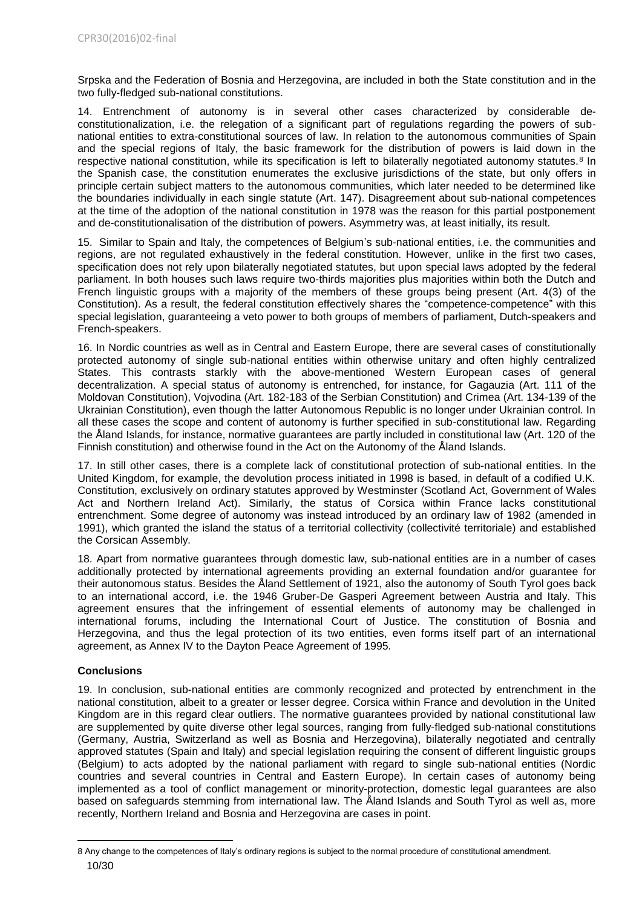Srpska and the Federation of Bosnia and Herzegovina, are included in both the State constitution and in the two fully-fledged sub-national constitutions.

14. Entrenchment of autonomy is in several other cases characterized by considerable deconstitutionalization, i.e. the relegation of a significant part of regulations regarding the powers of subnational entities to extra-constitutional sources of law. In relation to the autonomous communities of Spain and the special regions of Italy, the basic framework for the distribution of powers is laid down in the respective national constitution, while its specification is left to bilaterally negotiated autonomy statutes.<sup>8</sup> In the Spanish case, the constitution enumerates the exclusive jurisdictions of the state, but only offers in principle certain subject matters to the autonomous communities, which later needed to be determined like the boundaries individually in each single statute (Art. 147). Disagreement about sub-national competences at the time of the adoption of the national constitution in 1978 was the reason for this partial postponement and de-constitutionalisation of the distribution of powers. Asymmetry was, at least initially, its result.

15. Similar to Spain and Italy, the competences of Belgium's sub-national entities, i.e. the communities and regions, are not regulated exhaustively in the federal constitution. However, unlike in the first two cases, specification does not rely upon bilaterally negotiated statutes, but upon special laws adopted by the federal parliament. In both houses such laws require two-thirds majorities plus majorities within both the Dutch and French linguistic groups with a majority of the members of these groups being present (Art. 4(3) of the Constitution). As a result, the federal constitution effectively shares the "competence-competence" with this special legislation, guaranteeing a veto power to both groups of members of parliament, Dutch-speakers and French-speakers.

16. In Nordic countries as well as in Central and Eastern Europe, there are several cases of constitutionally protected autonomy of single sub-national entities within otherwise unitary and often highly centralized States. This contrasts starkly with the above-mentioned Western European cases of general decentralization. A special status of autonomy is entrenched, for instance, for Gagauzia (Art. 111 of the Moldovan Constitution), Vojvodina (Art. 182-183 of the Serbian Constitution) and Crimea (Art. 134-139 of the Ukrainian Constitution), even though the latter Autonomous Republic is no longer under Ukrainian control. In all these cases the scope and content of autonomy is further specified in sub-constitutional law. Regarding the Åland Islands, for instance, normative guarantees are partly included in constitutional law (Art. 120 of the Finnish constitution) and otherwise found in the Act on the Autonomy of the Åland Islands.

17. In still other cases, there is a complete lack of constitutional protection of sub-national entities. In the United Kingdom, for example, the devolution process initiated in 1998 is based, in default of a codified U.K. Constitution, exclusively on ordinary statutes approved by Westminster (Scotland Act, Government of Wales Act and Northern Ireland Act). Similarly, the status of Corsica within France lacks constitutional entrenchment. Some degree of autonomy was instead introduced by an ordinary law of 1982 (amended in 1991), which granted the island the status of a territorial collectivity (collectivité territoriale) and established the Corsican Assembly.

18. Apart from normative guarantees through domestic law, sub-national entities are in a number of cases additionally protected by international agreements providing an external foundation and/or guarantee for their autonomous status. Besides the Åland Settlement of 1921, also the autonomy of South Tyrol goes back to an international accord, i.e. the 1946 Gruber-De Gasperi Agreement between Austria and Italy. This agreement ensures that the infringement of essential elements of autonomy may be challenged in international forums, including the International Court of Justice. The constitution of Bosnia and Herzegovina, and thus the legal protection of its two entities, even forms itself part of an international agreement, as Annex IV to the Dayton Peace Agreement of 1995.

# **Conclusions**

**.** 

19. In conclusion, sub-national entities are commonly recognized and protected by entrenchment in the national constitution, albeit to a greater or lesser degree. Corsica within France and devolution in the United Kingdom are in this regard clear outliers. The normative guarantees provided by national constitutional law are supplemented by quite diverse other legal sources, ranging from fully-fledged sub-national constitutions (Germany, Austria, Switzerland as well as Bosnia and Herzegovina), bilaterally negotiated and centrally approved statutes (Spain and Italy) and special legislation requiring the consent of different linguistic groups (Belgium) to acts adopted by the national parliament with regard to single sub-national entities (Nordic countries and several countries in Central and Eastern Europe). In certain cases of autonomy being implemented as a tool of conflict management or minority-protection, domestic legal guarantees are also based on safeguards stemming from international law. The Åland Islands and South Tyrol as well as, more recently, Northern Ireland and Bosnia and Herzegovina are cases in point.

<sup>10/30</sup> 8 Any change to the competences of Italy's ordinary regions is subject to the normal procedure of constitutional amendment.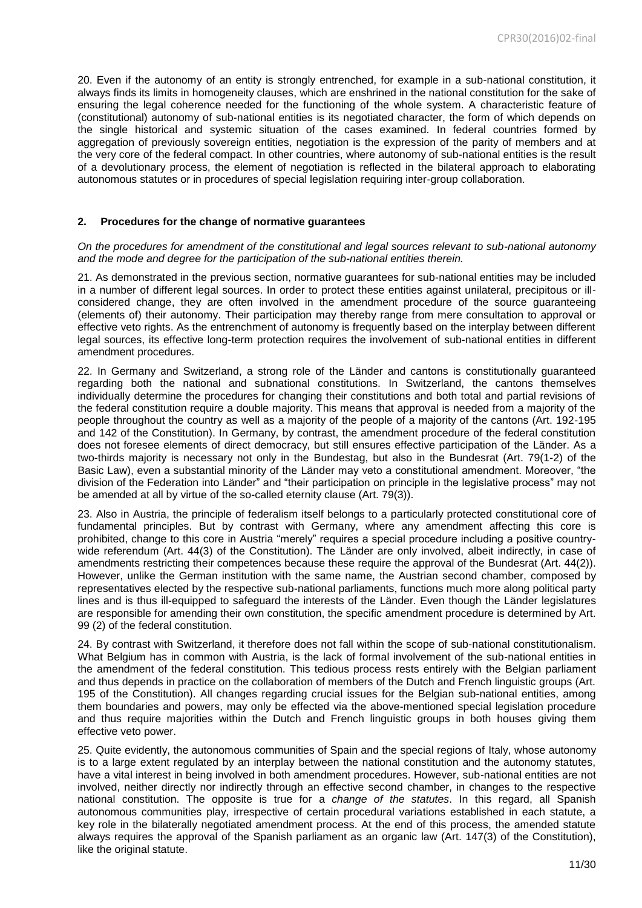20. Even if the autonomy of an entity is strongly entrenched, for example in a sub-national constitution, it always finds its limits in homogeneity clauses, which are enshrined in the national constitution for the sake of ensuring the legal coherence needed for the functioning of the whole system. A characteristic feature of (constitutional) autonomy of sub-national entities is its negotiated character, the form of which depends on the single historical and systemic situation of the cases examined. In federal countries formed by aggregation of previously sovereign entities, negotiation is the expression of the parity of members and at the very core of the federal compact. In other countries, where autonomy of sub-national entities is the result of a devolutionary process, the element of negotiation is reflected in the bilateral approach to elaborating autonomous statutes or in procedures of special legislation requiring inter-group collaboration.

#### <span id="page-10-0"></span>**2. Procedures for the change of normative guarantees**

*On the procedures for amendment of the constitutional and legal sources relevant to sub-national autonomy and the mode and degree for the participation of the sub-national entities therein.*

21. As demonstrated in the previous section, normative guarantees for sub-national entities may be included in a number of different legal sources. In order to protect these entities against unilateral, precipitous or illconsidered change, they are often involved in the amendment procedure of the source guaranteeing (elements of) their autonomy. Their participation may thereby range from mere consultation to approval or effective veto rights. As the entrenchment of autonomy is frequently based on the interplay between different legal sources, its effective long-term protection requires the involvement of sub-national entities in different amendment procedures.

22. In Germany and Switzerland, a strong role of the Länder and cantons is constitutionally guaranteed regarding both the national and subnational constitutions. In Switzerland, the cantons themselves individually determine the procedures for changing their constitutions and both total and partial revisions of the federal constitution require a double majority. This means that approval is needed from a majority of the people throughout the country as well as a majority of the people of a majority of the cantons (Art. 192-195 and 142 of the Constitution). In Germany, by contrast, the amendment procedure of the federal constitution does not foresee elements of direct democracy, but still ensures effective participation of the Länder. As a two-thirds majority is necessary not only in the Bundestag, but also in the Bundesrat (Art. 79(1-2) of the Basic Law), even a substantial minority of the Länder may veto a constitutional amendment. Moreover, "the division of the Federation into Länder" and "their participation on principle in the legislative process" may not be amended at all by virtue of the so-called eternity clause (Art. 79(3)).

23. Also in Austria, the principle of federalism itself belongs to a particularly protected constitutional core of fundamental principles. But by contrast with Germany, where any amendment affecting this core is prohibited, change to this core in Austria "merely" requires a special procedure including a positive countrywide referendum (Art. 44(3) of the Constitution). The Länder are only involved, albeit indirectly, in case of amendments restricting their competences because these require the approval of the Bundesrat (Art. 44(2)). However, unlike the German institution with the same name, the Austrian second chamber, composed by representatives elected by the respective sub-national parliaments, functions much more along political party lines and is thus ill-equipped to safeguard the interests of the Länder. Even though the Länder legislatures are responsible for amending their own constitution, the specific amendment procedure is determined by Art. 99 (2) of the federal constitution.

24. By contrast with Switzerland, it therefore does not fall within the scope of sub-national constitutionalism. What Belgium has in common with Austria, is the lack of formal involvement of the sub-national entities in the amendment of the federal constitution. This tedious process rests entirely with the Belgian parliament and thus depends in practice on the collaboration of members of the Dutch and French linguistic groups (Art. 195 of the Constitution). All changes regarding crucial issues for the Belgian sub-national entities, among them boundaries and powers, may only be effected via the above-mentioned special legislation procedure and thus require majorities within the Dutch and French linguistic groups in both houses giving them effective veto power.

25. Quite evidently, the autonomous communities of Spain and the special regions of Italy, whose autonomy is to a large extent regulated by an interplay between the national constitution and the autonomy statutes, have a vital interest in being involved in both amendment procedures. However, sub-national entities are not involved, neither directly nor indirectly through an effective second chamber, in changes to the respective national constitution. The opposite is true for a *change of the statutes*. In this regard, all Spanish autonomous communities play, irrespective of certain procedural variations established in each statute, a key role in the bilaterally negotiated amendment process. At the end of this process, the amended statute always requires the approval of the Spanish parliament as an organic law (Art. 147(3) of the Constitution), like the original statute.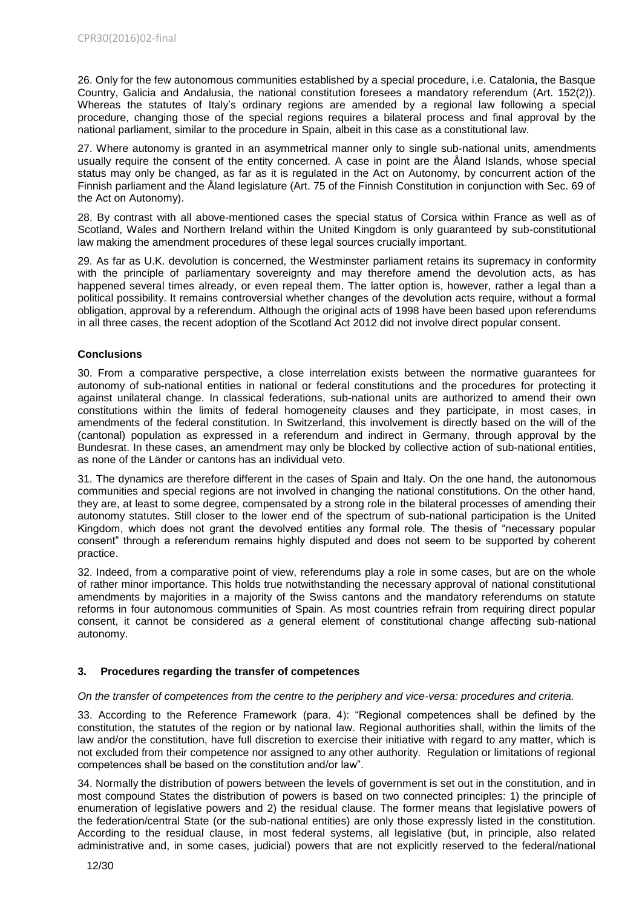26. Only for the few autonomous communities established by a special procedure, i.e. Catalonia, the Basque Country, Galicia and Andalusia, the national constitution foresees a mandatory referendum (Art. 152(2)). Whereas the statutes of Italy's ordinary regions are amended by a regional law following a special procedure, changing those of the special regions requires a bilateral process and final approval by the national parliament, similar to the procedure in Spain, albeit in this case as a constitutional law.

27. Where autonomy is granted in an asymmetrical manner only to single sub-national units, amendments usually require the consent of the entity concerned. A case in point are the Åland Islands, whose special status may only be changed, as far as it is regulated in the Act on Autonomy, by concurrent action of the Finnish parliament and the Åland legislature (Art. 75 of the Finnish Constitution in conjunction with Sec. 69 of the Act on Autonomy).

28. By contrast with all above-mentioned cases the special status of Corsica within France as well as of Scotland, Wales and Northern Ireland within the United Kingdom is only guaranteed by sub-constitutional law making the amendment procedures of these legal sources crucially important.

29. As far as U.K. devolution is concerned, the Westminster parliament retains its supremacy in conformity with the principle of parliamentary sovereignty and may therefore amend the devolution acts, as has happened several times already, or even repeal them. The latter option is, however, rather a legal than a political possibility. It remains controversial whether changes of the devolution acts require, without a formal obligation, approval by a referendum. Although the original acts of 1998 have been based upon referendums in all three cases, the recent adoption of the Scotland Act 2012 did not involve direct popular consent.

# **Conclusions**

30. From a comparative perspective, a close interrelation exists between the normative guarantees for autonomy of sub-national entities in national or federal constitutions and the procedures for protecting it against unilateral change. In classical federations, sub-national units are authorized to amend their own constitutions within the limits of federal homogeneity clauses and they participate, in most cases, in amendments of the federal constitution. In Switzerland, this involvement is directly based on the will of the (cantonal) population as expressed in a referendum and indirect in Germany, through approval by the Bundesrat. In these cases, an amendment may only be blocked by collective action of sub-national entities, as none of the Länder or cantons has an individual veto.

31. The dynamics are therefore different in the cases of Spain and Italy. On the one hand, the autonomous communities and special regions are not involved in changing the national constitutions. On the other hand, they are, at least to some degree, compensated by a strong role in the bilateral processes of amending their autonomy statutes. Still closer to the lower end of the spectrum of sub-national participation is the United Kingdom, which does not grant the devolved entities any formal role. The thesis of "necessary popular consent" through a referendum remains highly disputed and does not seem to be supported by coherent practice.

32. Indeed, from a comparative point of view, referendums play a role in some cases, but are on the whole of rather minor importance. This holds true notwithstanding the necessary approval of national constitutional amendments by majorities in a majority of the Swiss cantons and the mandatory referendums on statute reforms in four autonomous communities of Spain. As most countries refrain from requiring direct popular consent, it cannot be considered *as a* general element of constitutional change affecting sub-national autonomy.

# <span id="page-11-0"></span>**3. Procedures regarding the transfer of competences**

# *On the transfer of competences from the centre to the periphery and vice-versa: procedures and criteria.*

33. According to the Reference Framework (para. 4): "Regional competences shall be defined by the constitution, the statutes of the region or by national law. Regional authorities shall, within the limits of the law and/or the constitution, have full discretion to exercise their initiative with regard to any matter, which is not excluded from their competence nor assigned to any other authority. Regulation or limitations of regional competences shall be based on the constitution and/or law".

34. Normally the distribution of powers between the levels of government is set out in the constitution, and in most compound States the distribution of powers is based on two connected principles: 1) the principle of enumeration of legislative powers and 2) the residual clause. The former means that legislative powers of the federation/central State (or the sub-national entities) are only those expressly listed in the constitution. According to the residual clause, in most federal systems, all legislative (but, in principle, also related administrative and, in some cases, judicial) powers that are not explicitly reserved to the federal/national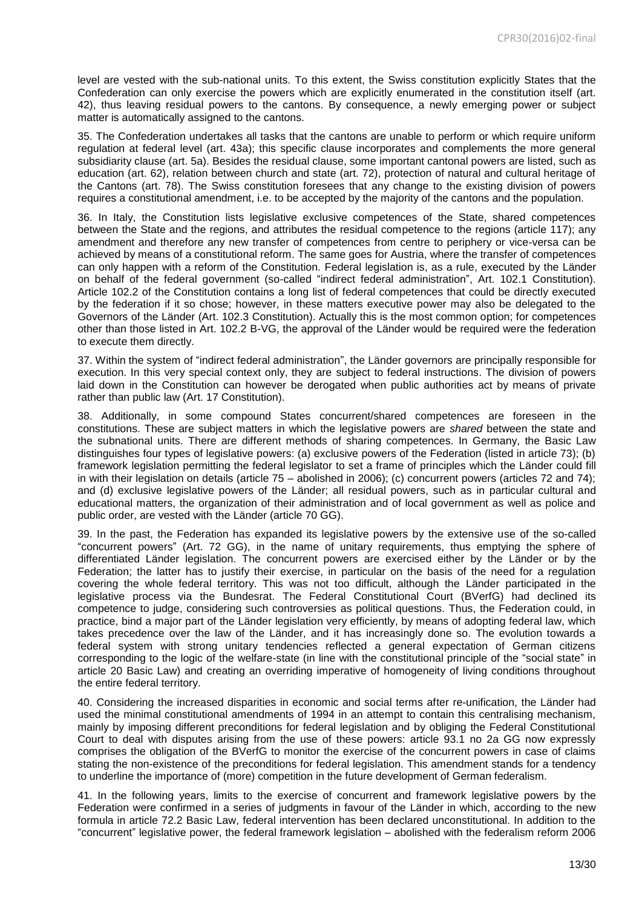level are vested with the sub-national units. To this extent, the Swiss constitution explicitly States that the Confederation can only exercise the powers which are explicitly enumerated in the constitution itself (art. 42), thus leaving residual powers to the cantons. By consequence, a newly emerging power or subject matter is automatically assigned to the cantons.

35. The Confederation undertakes all tasks that the cantons are unable to perform or which require uniform regulation at federal level (art. 43a); this specific clause incorporates and complements the more general subsidiarity clause (art. 5a). Besides the residual clause, some important cantonal powers are listed, such as education (art. 62), relation between church and state (art. 72), protection of natural and cultural heritage of the Cantons (art. 78). The Swiss constitution foresees that any change to the existing division of powers requires a constitutional amendment, i.e. to be accepted by the majority of the cantons and the population.

36. In Italy, the Constitution lists legislative exclusive competences of the State, shared competences between the State and the regions, and attributes the residual competence to the regions (article 117); any amendment and therefore any new transfer of competences from centre to periphery or vice-versa can be achieved by means of a constitutional reform. The same goes for Austria, where the transfer of competences can only happen with a reform of the Constitution. Federal legislation is, as a rule, executed by the Länder on behalf of the federal government (so-called "indirect federal administration", Art. 102.1 Constitution). Article 102.2 of the Constitution contains a long list of federal competences that could be directly executed by the federation if it so chose; however, in these matters executive power may also be delegated to the Governors of the Länder (Art. 102.3 Constitution). Actually this is the most common option; for competences other than those listed in Art. 102.2 B-VG, the approval of the Länder would be required were the federation to execute them directly.

37. Within the system of "indirect federal administration", the Länder governors are principally responsible for execution. In this very special context only, they are subject to federal instructions. The division of powers laid down in the Constitution can however be derogated when public authorities act by means of private rather than public law (Art. 17 Constitution).

38. Additionally, in some compound States concurrent/shared competences are foreseen in the constitutions. These are subject matters in which the legislative powers are *shared* between the state and the subnational units. There are different methods of sharing competences. In Germany, the Basic Law distinguishes four types of legislative powers: (a) exclusive powers of the Federation (listed in article 73); (b) framework legislation permitting the federal legislator to set a frame of principles which the Länder could fill in with their legislation on details (article 75 – abolished in 2006); (c) concurrent powers (articles 72 and 74); and (d) exclusive legislative powers of the Länder; all residual powers, such as in particular cultural and educational matters, the organization of their administration and of local government as well as police and public order, are vested with the Länder (article 70 GG).

39. In the past, the Federation has expanded its legislative powers by the extensive use of the so-called "concurrent powers" (Art. 72 GG), in the name of unitary requirements, thus emptying the sphere of differentiated Länder legislation. The concurrent powers are exercised either by the Länder or by the Federation; the latter has to justify their exercise, in particular on the basis of the need for a regulation covering the whole federal territory. This was not too difficult, although the Länder participated in the legislative process via the Bundesrat. The Federal Constitutional Court (BVerfG) had declined its competence to judge, considering such controversies as political questions. Thus, the Federation could, in practice, bind a major part of the Länder legislation very efficiently, by means of adopting federal law, which takes precedence over the law of the Länder, and it has increasingly done so. The evolution towards a federal system with strong unitary tendencies reflected a general expectation of German citizens corresponding to the logic of the welfare-state (in line with the constitutional principle of the "social state" in article 20 Basic Law) and creating an overriding imperative of homogeneity of living conditions throughout the entire federal territory.

40. Considering the increased disparities in economic and social terms after re-unification, the Länder had used the minimal constitutional amendments of 1994 in an attempt to contain this centralising mechanism, mainly by imposing different preconditions for federal legislation and by obliging the Federal Constitutional Court to deal with disputes arising from the use of these powers: article 93.1 no 2a GG now expressly comprises the obligation of the BVerfG to monitor the exercise of the concurrent powers in case of claims stating the non-existence of the preconditions for federal legislation. This amendment stands for a tendency to underline the importance of (more) competition in the future development of German federalism.

41. In the following years, limits to the exercise of concurrent and framework legislative powers by the Federation were confirmed in a series of judgments in favour of the Länder in which, according to the new formula in article 72.2 Basic Law, federal intervention has been declared unconstitutional. In addition to the "concurrent" legislative power, the federal framework legislation – abolished with the federalism reform 2006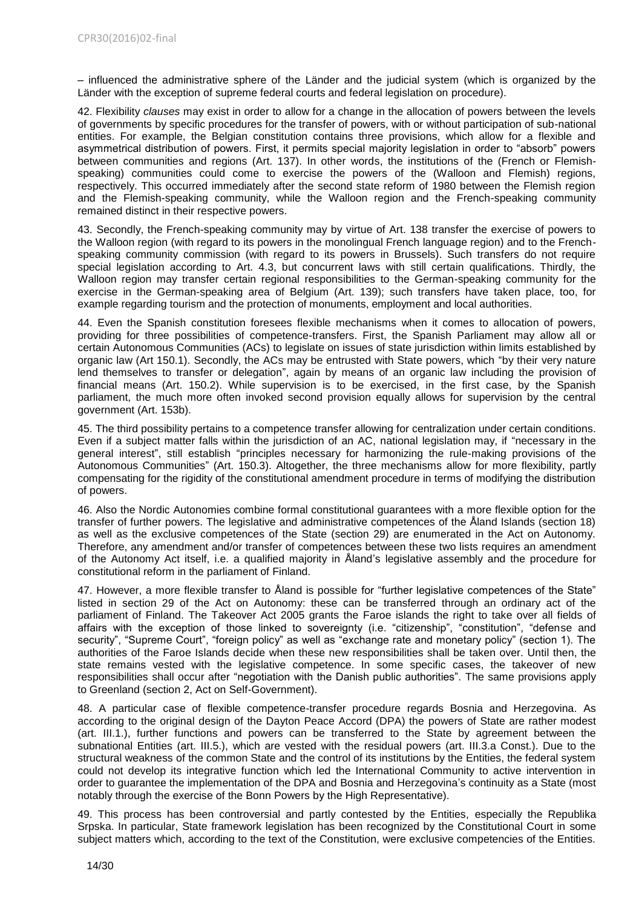– influenced the administrative sphere of the Länder and the judicial system (which is organized by the Länder with the exception of supreme federal courts and federal legislation on procedure).

42. Flexibility *clauses* may exist in order to allow for a change in the allocation of powers between the levels of governments by specific procedures for the transfer of powers, with or without participation of sub-national entities. For example, the Belgian constitution contains three provisions, which allow for a flexible and asymmetrical distribution of powers. First, it permits special majority legislation in order to "absorb" powers between communities and regions (Art. 137). In other words, the institutions of the (French or Flemishspeaking) communities could come to exercise the powers of the (Walloon and Flemish) regions, respectively. This occurred immediately after the second state reform of 1980 between the Flemish region and the Flemish-speaking community, while the Walloon region and the French-speaking community remained distinct in their respective powers.

43. Secondly, the French-speaking community may by virtue of Art. 138 transfer the exercise of powers to the Walloon region (with regard to its powers in the monolingual French language region) and to the Frenchspeaking community commission (with regard to its powers in Brussels). Such transfers do not require special legislation according to Art. 4.3, but concurrent laws with still certain qualifications. Thirdly, the Walloon region may transfer certain regional responsibilities to the German-speaking community for the exercise in the German-speaking area of Belgium (Art. 139); such transfers have taken place, too, for example regarding tourism and the protection of monuments, employment and local authorities.

44. Even the Spanish constitution foresees flexible mechanisms when it comes to allocation of powers, providing for three possibilities of competence-transfers. First, the Spanish Parliament may allow all or certain Autonomous Communities (ACs) to legislate on issues of state jurisdiction within limits established by organic law (Art 150.1). Secondly, the ACs may be entrusted with State powers, which "by their very nature lend themselves to transfer or delegation", again by means of an organic law including the provision of financial means (Art. 150.2). While supervision is to be exercised, in the first case, by the Spanish parliament, the much more often invoked second provision equally allows for supervision by the central government (Art. 153b).

45. The third possibility pertains to a competence transfer allowing for centralization under certain conditions. Even if a subject matter falls within the jurisdiction of an AC, national legislation may, if "necessary in the general interest", still establish "principles necessary for harmonizing the rule-making provisions of the Autonomous Communities" (Art. 150.3). Altogether, the three mechanisms allow for more flexibility, partly compensating for the rigidity of the constitutional amendment procedure in terms of modifying the distribution of powers.

46. Also the Nordic Autonomies combine formal constitutional guarantees with a more flexible option for the transfer of further powers. The legislative and administrative competences of the Åland Islands (section 18) as well as the exclusive competences of the State (section 29) are enumerated in the Act on Autonomy. Therefore, any amendment and/or transfer of competences between these two lists requires an amendment of the Autonomy Act itself, i.e. a qualified majority in Åland's legislative assembly and the procedure for constitutional reform in the parliament of Finland.

47. However, a more flexible transfer to Åland is possible for "further legislative competences of the State" listed in section 29 of the Act on Autonomy: these can be transferred through an ordinary act of the parliament of Finland. The Takeover Act 2005 grants the Faroe islands the right to take over all fields of affairs with the exception of those linked to sovereignty (i.e. "citizenship", "constitution", "defense and security", "Supreme Court", "foreign policy" as well as "exchange rate and monetary policy" (section 1). The authorities of the Faroe Islands decide when these new responsibilities shall be taken over. Until then, the state remains vested with the legislative competence. In some specific cases, the takeover of new responsibilities shall occur after "negotiation with the Danish public authorities". The same provisions apply to Greenland (section 2, Act on Self-Government).

48. A particular case of flexible competence-transfer procedure regards Bosnia and Herzegovina. As according to the original design of the Dayton Peace Accord (DPA) the powers of State are rather modest (art. III.1.), further functions and powers can be transferred to the State by agreement between the subnational Entities (art. III.5.), which are vested with the residual powers (art. III.3.a Const.). Due to the structural weakness of the common State and the control of its institutions by the Entities, the federal system could not develop its integrative function which led the International Community to active intervention in order to guarantee the implementation of the DPA and Bosnia and Herzegovina's continuity as a State (most notably through the exercise of the Bonn Powers by the High Representative).

49. This process has been controversial and partly contested by the Entities, especially the Republika Srpska. In particular, State framework legislation has been recognized by the Constitutional Court in some subject matters which, according to the text of the Constitution, were exclusive competencies of the Entities.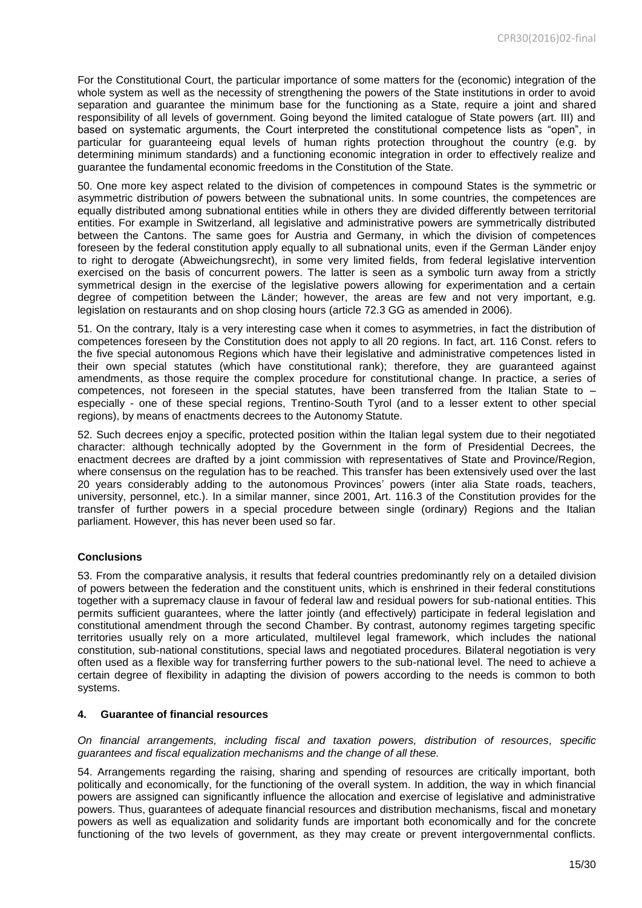For the Constitutional Court, the particular importance of some matters for the (economic) integration of the whole system as well as the necessity of strengthening the powers of the State institutions in order to avoid separation and guarantee the minimum base for the functioning as a State, require a joint and shared responsibility of all levels of government. Going beyond the limited catalogue of State powers (art. III) and based on systematic arguments, the Court interpreted the constitutional competence lists as "open", in particular for guaranteeing equal levels of human rights protection throughout the country (e.g. by determining minimum standards) and a functioning economic integration in order to effectively realize and guarantee the fundamental economic freedoms in the Constitution of the State.

50. One more key aspect related to the division of competences in compound States is the symmetric or asymmetric distribution *of* powers between the subnational units. In some countries, the competences are equally distributed among subnational entities while in others they are divided differently between territorial entities. For example in Switzerland, all legislative and administrative powers are symmetrically distributed between the Cantons. The same goes for Austria and Germany, in which the division of competences foreseen by the federal constitution apply equally to all subnational units, even if the German Länder enjoy to right to derogate (Abweichungsrecht), in some very limited fields, from federal legislative intervention exercised on the basis of concurrent powers. The latter is seen as a symbolic turn away from a strictly symmetrical design in the exercise of the legislative powers allowing for experimentation and a certain degree of competition between the Länder; however, the areas are few and not very important, e.g. legislation on restaurants and on shop closing hours (article 72.3 GG as amended in 2006).

51. On the contrary, Italy is a very interesting case when it comes to asymmetries, in fact the distribution of competences foreseen by the Constitution does not apply to all 20 regions. In fact, art. 116 Const. refers to the five special autonomous Regions which have their legislative and administrative competences listed in their own special statutes (which have constitutional rank); therefore, they are guaranteed against amendments, as those require the complex procedure for constitutional change. In practice, a series of competences, not foreseen in the special statutes, have been transferred from the Italian State to – especially - one of these special regions, Trentino-South Tyrol (and to a lesser extent to other special regions), by means of enactments decrees to the Autonomy Statute.

52. Such decrees enjoy a specific, protected position within the Italian legal system due to their negotiated character: although technically adopted by the Government in the form of Presidential Decrees, the enactment decrees are drafted by a joint commission with representatives of State and Province/Region, where consensus on the regulation has to be reached. This transfer has been extensively used over the last 20 years considerably adding to the autonomous Provinces' powers (inter alia State roads, teachers, university, personnel, etc.). In a similar manner, since 2001, Art. 116.3 of the Constitution provides for the transfer of further powers in a special procedure between single (ordinary) Regions and the Italian parliament. However, this has never been used so far.

#### **Conclusions**

53. From the comparative analysis, it results that federal countries predominantly rely on a detailed division of powers between the federation and the constituent units, which is enshrined in their federal constitutions together with a supremacy clause in favour of federal law and residual powers for sub-national entities. This permits sufficient guarantees, where the latter jointly (and effectively) participate in federal legislation and constitutional amendment through the second Chamber. By contrast, autonomy regimes targeting specific territories usually rely on a more articulated, multilevel legal framework, which includes the national constitution, sub-national constitutions, special laws and negotiated procedures. Bilateral negotiation is very often used as a flexible way for transferring further powers to the sub-national level. The need to achieve a certain degree of flexibility in adapting the division of powers according to the needs is common to both systems.

#### **4. Guarantee of financial resources**

*On financial arrangements, including fiscal and taxation powers, distribution of resources, specific guarantees and fiscal equalization mechanisms and the change of all these.*

54. Arrangements regarding the raising, sharing and spending of resources are critically important, both politically and economically, for the functioning of the overall system. In addition, the way in which financial powers are assigned can significantly influence the allocation and exercise of legislative and administrative powers. Thus, guarantees of adequate financial resources and distribution mechanisms, fiscal and monetary powers as well as equalization and solidarity funds are important both economically and for the concrete functioning of the two levels of government, as they may create or prevent intergovernmental conflicts.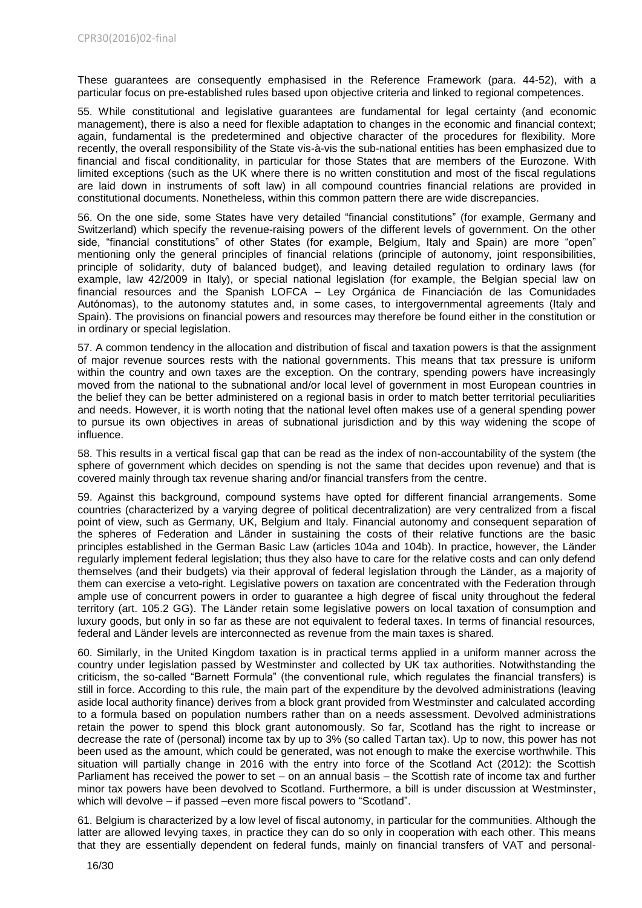These guarantees are consequently emphasised in the Reference Framework (para. 44-52), with a particular focus on pre-established rules based upon objective criteria and linked to regional competences.

55. While constitutional and legislative guarantees are fundamental for legal certainty (and economic management), there is also a need for flexible adaptation to changes in the economic and financial context; again, fundamental is the predetermined and objective character of the procedures for flexibility. More recently, the overall responsibility of the State vis-à-vis the sub-national entities has been emphasized due to financial and fiscal conditionality, in particular for those States that are members of the Eurozone. With limited exceptions (such as the UK where there is no written constitution and most of the fiscal regulations are laid down in instruments of soft law) in all compound countries financial relations are provided in constitutional documents. Nonetheless, within this common pattern there are wide discrepancies.

56. On the one side, some States have very detailed "financial constitutions" (for example, Germany and Switzerland) which specify the revenue-raising powers of the different levels of government. On the other side, "financial constitutions" of other States (for example, Belgium, Italy and Spain) are more "open" mentioning only the general principles of financial relations (principle of autonomy, joint responsibilities, principle of solidarity, duty of balanced budget), and leaving detailed regulation to ordinary laws (for example, law 42/2009 in Italy), or special national legislation (for example, the Belgian special law on financial resources and the Spanish LOFCA – Ley Orgánica de Financiación de las Comunidades Autónomas), to the autonomy statutes and, in some cases, to intergovernmental agreements (Italy and Spain). The provisions on financial powers and resources may therefore be found either in the constitution or in ordinary or special legislation.

57. A common tendency in the allocation and distribution of fiscal and taxation powers is that the assignment of major revenue sources rests with the national governments. This means that tax pressure is uniform within the country and own taxes are the exception. On the contrary, spending powers have increasingly moved from the national to the subnational and/or local level of government in most European countries in the belief they can be better administered on a regional basis in order to match better territorial peculiarities and needs. However, it is worth noting that the national level often makes use of a general spending power to pursue its own objectives in areas of subnational jurisdiction and by this way widening the scope of influence.

58. This results in a vertical fiscal gap that can be read as the index of non-accountability of the system (the sphere of government which decides on spending is not the same that decides upon revenue) and that is covered mainly through tax revenue sharing and/or financial transfers from the centre.

59. Against this background, compound systems have opted for different financial arrangements. Some countries (characterized by a varying degree of political decentralization) are very centralized from a fiscal point of view, such as Germany, UK, Belgium and Italy. Financial autonomy and consequent separation of the spheres of Federation and Länder in sustaining the costs of their relative functions are the basic principles established in the German Basic Law (articles 104a and 104b). In practice, however, the Länder regularly implement federal legislation; thus they also have to care for the relative costs and can only defend themselves (and their budgets) via their approval of federal legislation through the Länder, as a majority of them can exercise a veto-right. Legislative powers on taxation are concentrated with the Federation through ample use of concurrent powers in order to guarantee a high degree of fiscal unity throughout the federal territory (art. 105.2 GG). The Länder retain some legislative powers on local taxation of consumption and luxury goods, but only in so far as these are not equivalent to federal taxes. In terms of financial resources, federal and Länder levels are interconnected as revenue from the main taxes is shared.

60. Similarly, in the United Kingdom taxation is in practical terms applied in a uniform manner across the country under legislation passed by Westminster and collected by UK tax authorities. Notwithstanding the criticism, the so-called "Barnett Formula" (the conventional rule, which regulates the financial transfers) is still in force. According to this rule, the main part of the expenditure by the devolved administrations (leaving aside local authority finance) derives from a block grant provided from Westminster and calculated according to a formula based on population numbers rather than on a needs assessment. Devolved administrations retain the power to spend this block grant autonomously. So far, Scotland has the right to increase or decrease the rate of (personal) income tax by up to 3% (so called Tartan tax). Up to now, this power has not been used as the amount, which could be generated, was not enough to make the exercise worthwhile. This situation will partially change in 2016 with the entry into force of the Scotland Act (2012): the Scottish Parliament has received the power to set – on an annual basis – the Scottish rate of income tax and further minor tax powers have been devolved to Scotland. Furthermore, a bill is under discussion at Westminster, which will devolve – if passed –even more fiscal powers to "Scotland".

61. Belgium is characterized by a low level of fiscal autonomy, in particular for the communities. Although the latter are allowed levying taxes, in practice they can do so only in cooperation with each other. This means that they are essentially dependent on federal funds, mainly on financial transfers of VAT and personal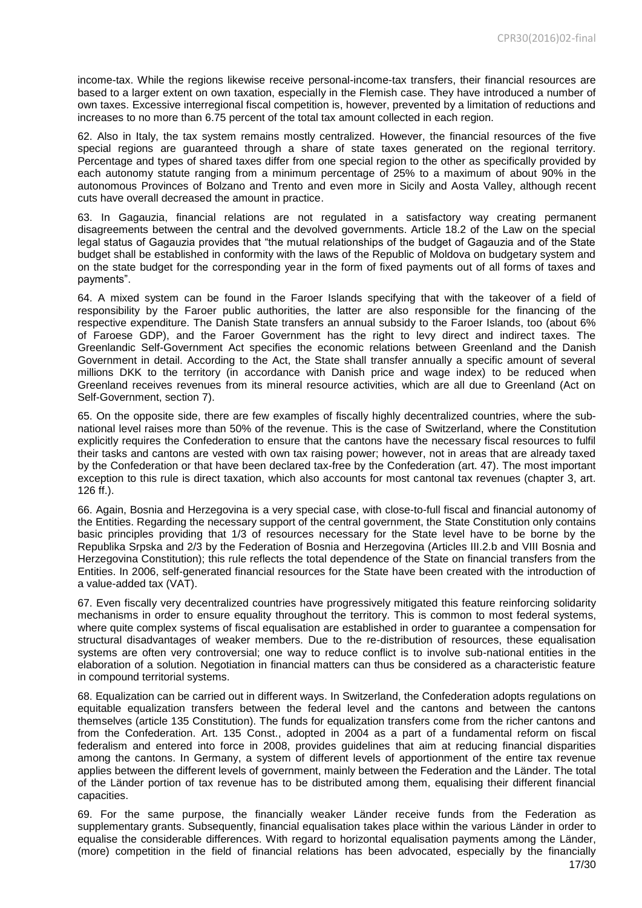income-tax. While the regions likewise receive personal-income-tax transfers, their financial resources are based to a larger extent on own taxation, especially in the Flemish case. They have introduced a number of own taxes. Excessive interregional fiscal competition is, however, prevented by a limitation of reductions and increases to no more than 6.75 percent of the total tax amount collected in each region.

62. Also in Italy, the tax system remains mostly centralized. However, the financial resources of the five special regions are guaranteed through a share of state taxes generated on the regional territory. Percentage and types of shared taxes differ from one special region to the other as specifically provided by each autonomy statute ranging from a minimum percentage of 25% to a maximum of about 90% in the autonomous Provinces of Bolzano and Trento and even more in Sicily and Aosta Valley, although recent cuts have overall decreased the amount in practice.

63. In Gagauzia, financial relations are not regulated in a satisfactory way creating permanent disagreements between the central and the devolved governments. Article 18.2 of the Law on the special legal status of Gagauzia provides that "the mutual relationships of the budget of Gagauzia and of the State budget shall be established in conformity with the laws of the Republic of Moldova on budgetary system and on the state budget for the corresponding year in the form of fixed payments out of all forms of taxes and payments".

64. A mixed system can be found in the Faroer Islands specifying that with the takeover of a field of responsibility by the Faroer public authorities, the latter are also responsible for the financing of the respective expenditure. The Danish State transfers an annual subsidy to the Faroer Islands, too (about 6% of Faroese GDP), and the Faroer Government has the right to levy direct and indirect taxes. The Greenlandic Self-Government Act specifies the economic relations between Greenland and the Danish Government in detail. According to the Act, the State shall transfer annually a specific amount of several millions DKK to the territory (in accordance with Danish price and wage index) to be reduced when Greenland receives revenues from its mineral resource activities, which are all due to Greenland (Act on Self-Government, section 7).

65. On the opposite side, there are few examples of fiscally highly decentralized countries, where the subnational level raises more than 50% of the revenue. This is the case of Switzerland, where the Constitution explicitly requires the Confederation to ensure that the cantons have the necessary fiscal resources to fulfil their tasks and cantons are vested with own tax raising power; however, not in areas that are already taxed by the Confederation or that have been declared tax-free by the Confederation (art. 47). The most important exception to this rule is direct taxation, which also accounts for most cantonal tax revenues (chapter 3, art. 126 ff.).

66. Again, Bosnia and Herzegovina is a very special case, with close-to-full fiscal and financial autonomy of the Entities. Regarding the necessary support of the central government, the State Constitution only contains basic principles providing that 1/3 of resources necessary for the State level have to be borne by the Republika Srpska and 2/3 by the Federation of Bosnia and Herzegovina (Articles III.2.b and VIII Bosnia and Herzegovina Constitution); this rule reflects the total dependence of the State on financial transfers from the Entities. In 2006, self-generated financial resources for the State have been created with the introduction of a value-added tax (VAT).

67. Even fiscally very decentralized countries have progressively mitigated this feature reinforcing solidarity mechanisms in order to ensure equality throughout the territory. This is common to most federal systems, where quite complex systems of fiscal equalisation are established in order to guarantee a compensation for structural disadvantages of weaker members. Due to the re-distribution of resources, these equalisation systems are often very controversial; one way to reduce conflict is to involve sub-national entities in the elaboration of a solution. Negotiation in financial matters can thus be considered as a characteristic feature in compound territorial systems.

68. Equalization can be carried out in different ways. In Switzerland, the Confederation adopts regulations on equitable equalization transfers between the federal level and the cantons and between the cantons themselves (article 135 Constitution). The funds for equalization transfers come from the richer cantons and from the Confederation. Art. 135 Const., adopted in 2004 as a part of a fundamental reform on fiscal federalism and entered into force in 2008, provides guidelines that aim at reducing financial disparities among the cantons. In Germany, a system of different levels of apportionment of the entire tax revenue applies between the different levels of government, mainly between the Federation and the Länder. The total of the Länder portion of tax revenue has to be distributed among them, equalising their different financial capacities.

69. For the same purpose, the financially weaker Länder receive funds from the Federation as supplementary grants. Subsequently, financial equalisation takes place within the various Länder in order to equalise the considerable differences. With regard to horizontal equalisation payments among the Länder, (more) competition in the field of financial relations has been advocated, especially by the financially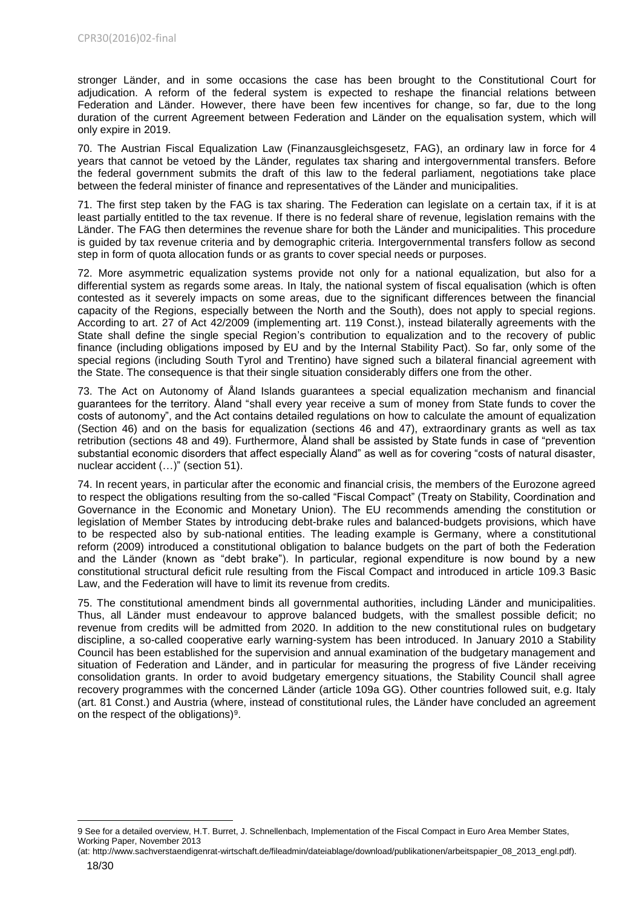stronger Länder, and in some occasions the case has been brought to the Constitutional Court for adjudication. A reform of the federal system is expected to reshape the financial relations between Federation and Länder. However, there have been few incentives for change, so far, due to the long duration of the current Agreement between Federation and Länder on the equalisation system, which will only expire in 2019.

70. The Austrian Fiscal Equalization Law (Finanzausgleichsgesetz, FAG), an ordinary law in force for 4 years that cannot be vetoed by the Länder*,* regulates tax sharing and intergovernmental transfers. Before the federal government submits the draft of this law to the federal parliament, negotiations take place between the federal minister of finance and representatives of the Länder and municipalities.

71. The first step taken by the FAG is tax sharing. The Federation can legislate on a certain tax, if it is at least partially entitled to the tax revenue. If there is no federal share of revenue, legislation remains with the Länder. The FAG then determines the revenue share for both the Länder and municipalities. This procedure is guided by tax revenue criteria and by demographic criteria. Intergovernmental transfers follow as second step in form of quota allocation funds or as grants to cover special needs or purposes.

72. More asymmetric equalization systems provide not only for a national equalization, but also for a differential system as regards some areas. In Italy, the national system of fiscal equalisation (which is often contested as it severely impacts on some areas, due to the significant differences between the financial capacity of the Regions, especially between the North and the South), does not apply to special regions. According to art. 27 of Act 42/2009 (implementing art. 119 Const.), instead bilaterally agreements with the State shall define the single special Region's contribution to equalization and to the recovery of public finance (including obligations imposed by EU and by the Internal Stability Pact). So far, only some of the special regions (including South Tyrol and Trentino) have signed such a bilateral financial agreement with the State. The consequence is that their single situation considerably differs one from the other.

73. The Act on Autonomy of Åland Islands guarantees a special equalization mechanism and financial guarantees for the territory. Åland "shall every year receive a sum of money from State funds to cover the costs of autonomy", and the Act contains detailed regulations on how to calculate the amount of equalization (Section 46) and on the basis for equalization (sections 46 and 47), extraordinary grants as well as tax retribution (sections 48 and 49). Furthermore, Åland shall be assisted by State funds in case of "prevention substantial economic disorders that affect especially Åland" as well as for covering "costs of natural disaster, nuclear accident (…)" (section 51).

74. In recent years, in particular after the economic and financial crisis, the members of the Eurozone agreed to respect the obligations resulting from the so-called "Fiscal Compact" (Treaty on Stability, Coordination and Governance in the Economic and Monetary Union). The EU recommends amending the constitution or legislation of Member States by introducing debt-brake rules and balanced-budgets provisions, which have to be respected also by sub-national entities. The leading example is Germany, where a constitutional reform (2009) introduced a constitutional obligation to balance budgets on the part of both the Federation and the Länder (known as "debt brake"). In particular, regional expenditure is now bound by a new constitutional structural deficit rule resulting from the Fiscal Compact and introduced in article 109.3 Basic Law, and the Federation will have to limit its revenue from credits.

75. The constitutional amendment binds all governmental authorities, including Länder and municipalities. Thus, all Länder must endeavour to approve balanced budgets, with the smallest possible deficit; no revenue from credits will be admitted from 2020. In addition to the new constitutional rules on budgetary discipline, a so-called cooperative early warning-system has been introduced. In January 2010 a Stability Council has been established for the supervision and annual examination of the budgetary management and situation of Federation and Länder, and in particular for measuring the progress of five Länder receiving consolidation grants. In order to avoid budgetary emergency situations, the Stability Council shall agree recovery programmes with the concerned Länder (article 109a GG). Other countries followed suit, e.g. Italy (art. 81 Const.) and Austria (where, instead of constitutional rules, the Länder have concluded an agreement on the respect of the obligations) $9$ .

**<sup>.</sup>** 9 See for a detailed overview, H.T. Burret, J. Schnellenbach, Implementation of the Fiscal Compact in Euro Area Member States, Working Paper, November 2013

<sup>(</sup>at: http://www.sachverstaendigenrat-wirtschaft.de/fileadmin/dateiablage/download/publikationen/arbeitspapier\_08\_2013\_engl.pdf).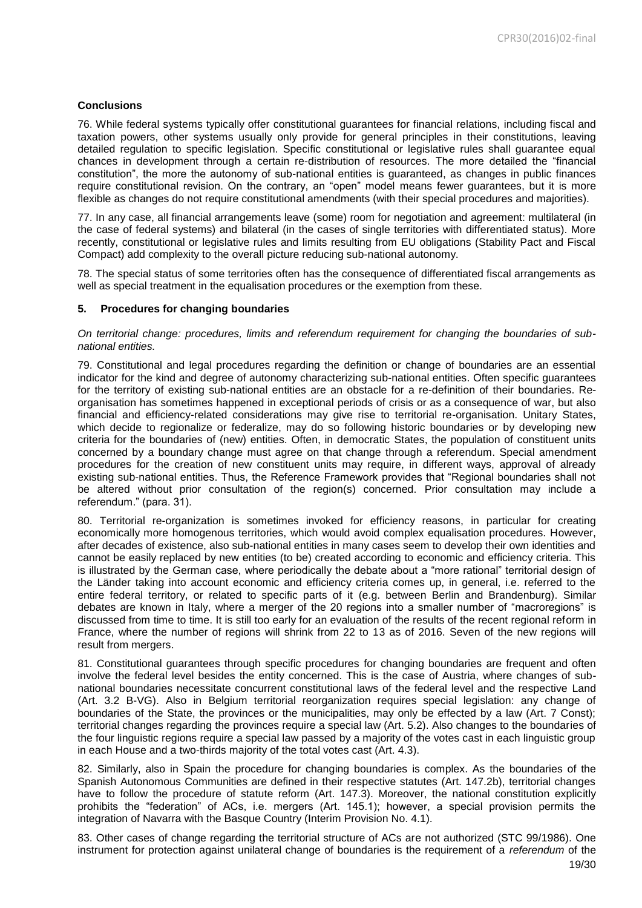# **Conclusions**

76. While federal systems typically offer constitutional guarantees for financial relations, including fiscal and taxation powers, other systems usually only provide for general principles in their constitutions, leaving detailed regulation to specific legislation. Specific constitutional or legislative rules shall guarantee equal chances in development through a certain re-distribution of resources. The more detailed the "financial constitution", the more the autonomy of sub-national entities is guaranteed, as changes in public finances require constitutional revision. On the contrary, an "open" model means fewer guarantees, but it is more flexible as changes do not require constitutional amendments (with their special procedures and majorities).

77. In any case, all financial arrangements leave (some) room for negotiation and agreement: multilateral (in the case of federal systems) and bilateral (in the cases of single territories with differentiated status). More recently, constitutional or legislative rules and limits resulting from EU obligations (Stability Pact and Fiscal Compact) add complexity to the overall picture reducing sub-national autonomy.

78. The special status of some territories often has the consequence of differentiated fiscal arrangements as well as special treatment in the equalisation procedures or the exemption from these.

#### <span id="page-18-0"></span>**5. Procedures for changing boundaries**

#### *On territorial change: procedures, limits and referendum requirement for changing the boundaries of subnational entities.*

79. Constitutional and legal procedures regarding the definition or change of boundaries are an essential indicator for the kind and degree of autonomy characterizing sub-national entities. Often specific guarantees for the territory of existing sub-national entities are an obstacle for a re-definition of their boundaries. Reorganisation has sometimes happened in exceptional periods of crisis or as a consequence of war, but also financial and efficiency-related considerations may give rise to territorial re-organisation. Unitary States, which decide to regionalize or federalize, may do so following historic boundaries or by developing new criteria for the boundaries of (new) entities. Often, in democratic States, the population of constituent units concerned by a boundary change must agree on that change through a referendum. Special amendment procedures for the creation of new constituent units may require, in different ways, approval of already existing sub-national entities. Thus, the Reference Framework provides that "Regional boundaries shall not be altered without prior consultation of the region(s) concerned. Prior consultation may include a referendum." (para. 31).

80. Territorial re-organization is sometimes invoked for efficiency reasons, in particular for creating economically more homogenous territories, which would avoid complex equalisation procedures. However, after decades of existence, also sub-national entities in many cases seem to develop their own identities and cannot be easily replaced by new entities (to be) created according to economic and efficiency criteria. This is illustrated by the German case, where periodically the debate about a "more rational" territorial design of the Länder taking into account economic and efficiency criteria comes up, in general, i.e. referred to the entire federal territory, or related to specific parts of it (e.g. between Berlin and Brandenburg). Similar debates are known in Italy, where a merger of the 20 regions into a smaller number of "macroregions" is discussed from time to time. It is still too early for an evaluation of the results of the recent regional reform in France, where the number of regions will shrink from 22 to 13 as of 2016. Seven of the new regions will result from mergers.

81. Constitutional guarantees through specific procedures for changing boundaries are frequent and often involve the federal level besides the entity concerned. This is the case of Austria, where changes of subnational boundaries necessitate concurrent constitutional laws of the federal level and the respective Land (Art. 3.2 B-VG). Also in Belgium territorial reorganization requires special legislation: any change of boundaries of the State, the provinces or the municipalities, may only be effected by a law (Art. 7 Const); territorial changes regarding the provinces require a special law (Art. 5.2). Also changes to the boundaries of the four linguistic regions require a special law passed by a majority of the votes cast in each linguistic group in each House and a two-thirds majority of the total votes cast (Art. 4.3).

82. Similarly, also in Spain the procedure for changing boundaries is complex. As the boundaries of the Spanish Autonomous Communities are defined in their respective statutes (Art. 147.2b), territorial changes have to follow the procedure of statute reform (Art. 147.3). Moreover, the national constitution explicitly prohibits the "federation" of ACs, i.e. mergers (Art. 145.1); however, a special provision permits the integration of Navarra with the Basque Country (Interim Provision No. 4.1).

83. Other cases of change regarding the territorial structure of ACs are not authorized (STC 99/1986). One instrument for protection against unilateral change of boundaries is the requirement of a *referendum* of the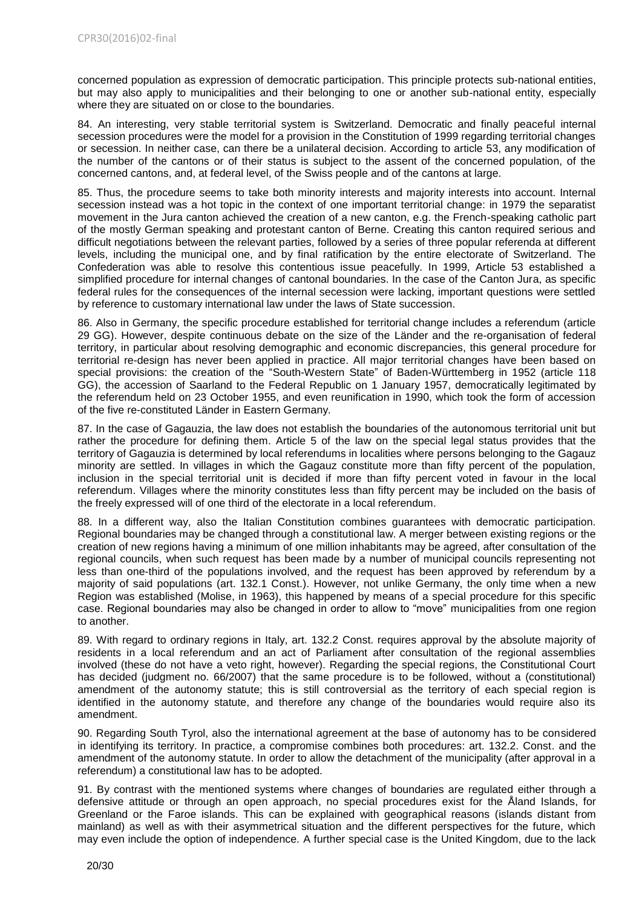concerned population as expression of democratic participation. This principle protects sub-national entities, but may also apply to municipalities and their belonging to one or another sub-national entity, especially where they are situated on or close to the boundaries.

84. An interesting, very stable territorial system is Switzerland. Democratic and finally peaceful internal secession procedures were the model for a provision in the Constitution of 1999 regarding territorial changes or secession. In neither case, can there be a unilateral decision. According to article 53, any modification of the number of the cantons or of their status is subject to the assent of the concerned population, of the concerned cantons, and, at federal level, of the Swiss people and of the cantons at large.

85. Thus, the procedure seems to take both minority interests and majority interests into account. Internal secession instead was a hot topic in the context of one important territorial change: in 1979 the separatist movement in the Jura canton achieved the creation of a new canton, e.g. the French-speaking catholic part of the mostly German speaking and protestant canton of Berne. Creating this canton required serious and difficult negotiations between the relevant parties, followed by a series of three popular referenda at different levels, including the municipal one, and by final ratification by the entire electorate of Switzerland. The Confederation was able to resolve this contentious issue peacefully. In 1999, Article 53 established a simplified procedure for internal changes of cantonal boundaries. In the case of the Canton Jura, as specific federal rules for the consequences of the internal secession were lacking, important questions were settled by reference to customary international law under the laws of State succession.

86. Also in Germany, the specific procedure established for territorial change includes a referendum (article 29 GG). However, despite continuous debate on the size of the Länder and the re-organisation of federal territory, in particular about resolving demographic and economic discrepancies, this general procedure for territorial re-design has never been applied in practice. All major territorial changes have been based on special provisions: the creation of the "South-Western State" of Baden-Württemberg in 1952 (article 118 GG), the accession of Saarland to the Federal Republic on 1 January 1957, democratically legitimated by the referendum held on 23 October 1955, and even reunification in 1990, which took the form of accession of the five re-constituted Länder in Eastern Germany.

87. In the case of Gagauzia, the law does not establish the boundaries of the autonomous territorial unit but rather the procedure for defining them. Article 5 of the law on the special legal status provides that the territory of Gagauzia is determined by local referendums in localities where persons belonging to the Gagauz minority are settled. In villages in which the Gagauz constitute more than fifty percent of the population, inclusion in the special territorial unit is decided if more than fifty percent voted in favour in the local referendum. Villages where the minority constitutes less than fifty percent may be included on the basis of the freely expressed will of one third of the electorate in a local referendum.

88. In a different way, also the Italian Constitution combines guarantees with democratic participation. Regional boundaries may be changed through a constitutional law. A merger between existing regions or the creation of new regions having a minimum of one million inhabitants may be agreed, after consultation of the regional councils, when such request has been made by a number of municipal councils representing not less than one-third of the populations involved, and the request has been approved by referendum by a majority of said populations (art. 132.1 Const.). However, not unlike Germany, the only time when a new Region was established (Molise, in 1963), this happened by means of a special procedure for this specific case. Regional boundaries may also be changed in order to allow to "move" municipalities from one region to another.

89. With regard to ordinary regions in Italy, art. 132.2 Const. requires approval by the absolute majority of residents in a local referendum and an act of Parliament after consultation of the regional assemblies involved (these do not have a veto right, however). Regarding the special regions, the Constitutional Court has decided (judgment no. 66/2007) that the same procedure is to be followed, without a (constitutional) amendment of the autonomy statute; this is still controversial as the territory of each special region is identified in the autonomy statute, and therefore any change of the boundaries would require also its amendment.

90. Regarding South Tyrol, also the international agreement at the base of autonomy has to be considered in identifying its territory. In practice, a compromise combines both procedures: art. 132.2. Const. and the amendment of the autonomy statute. In order to allow the detachment of the municipality (after approval in a referendum) a constitutional law has to be adopted.

91. By contrast with the mentioned systems where changes of boundaries are regulated either through a defensive attitude or through an open approach, no special procedures exist for the Åland Islands, for Greenland or the Faroe islands. This can be explained with geographical reasons (islands distant from mainland) as well as with their asymmetrical situation and the different perspectives for the future, which may even include the option of independence. A further special case is the United Kingdom, due to the lack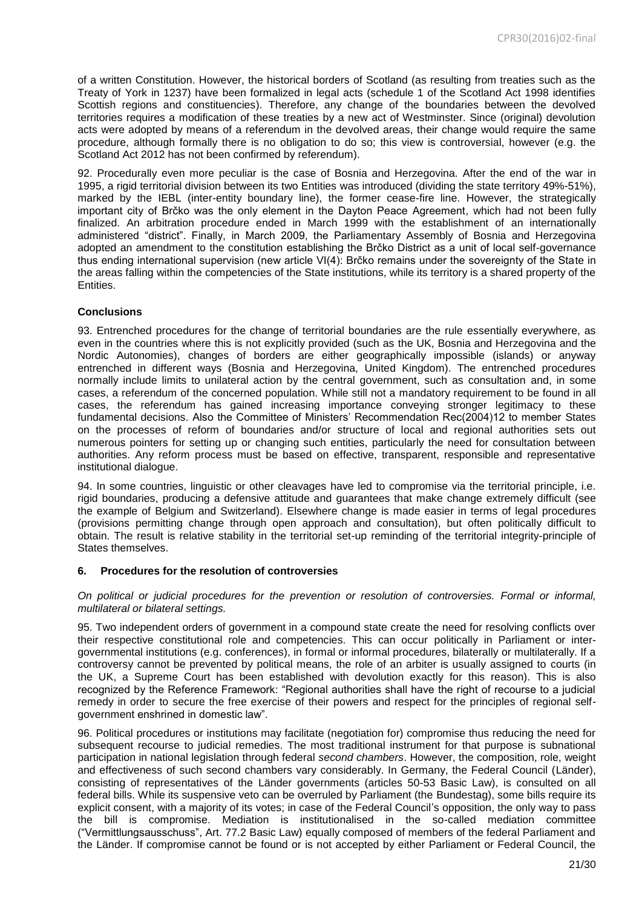of a written Constitution. However, the historical borders of Scotland (as resulting from treaties such as the Treaty of York in 1237) have been formalized in legal acts (schedule 1 of the Scotland Act 1998 identifies Scottish regions and constituencies). Therefore, any change of the boundaries between the devolved territories requires a modification of these treaties by a new act of Westminster. Since (original) devolution acts were adopted by means of a referendum in the devolved areas, their change would require the same procedure, although formally there is no obligation to do so; this view is controversial, however (e.g. the Scotland Act 2012 has not been confirmed by referendum).

92. Procedurally even more peculiar is the case of Bosnia and Herzegovina. After the end of the war in 1995, a rigid territorial division between its two Entities was introduced (dividing the state territory 49%-51%), marked by the IEBL (inter-entity boundary line), the former cease-fire line. However, the strategically important city of Brčko was the only element in the Dayton Peace Agreement, which had not been fully finalized. An arbitration procedure ended in March 1999 with the establishment of an internationally administered "district". Finally, in March 2009, the Parliamentary Assembly of Bosnia and Herzegovina adopted an amendment to the constitution establishing the Brčko District as a unit of local self-governance thus ending international supervision (new article VI(4): Brčko remains under the sovereignty of the State in the areas falling within the competencies of the State institutions, while its territory is a shared property of the Entities.

#### **Conclusions**

93. Entrenched procedures for the change of territorial boundaries are the rule essentially everywhere, as even in the countries where this is not explicitly provided (such as the UK, Bosnia and Herzegovina and the Nordic Autonomies), changes of borders are either geographically impossible (islands) or anyway entrenched in different ways (Bosnia and Herzegovina, United Kingdom). The entrenched procedures normally include limits to unilateral action by the central government, such as consultation and, in some cases, a referendum of the concerned population. While still not a mandatory requirement to be found in all cases, the referendum has gained increasing importance conveying stronger legitimacy to these fundamental decisions. Also the Committee of Ministers' Recommendation Rec(2004)12 to member States on the processes of reform of boundaries and/or structure of local and regional authorities sets out numerous pointers for setting up or changing such entities, particularly the need for consultation between authorities. Any reform process must be based on effective, transparent, responsible and representative institutional dialogue.

94. In some countries, linguistic or other cleavages have led to compromise via the territorial principle, i.e. rigid boundaries, producing a defensive attitude and guarantees that make change extremely difficult (see the example of Belgium and Switzerland). Elsewhere change is made easier in terms of legal procedures (provisions permitting change through open approach and consultation), but often politically difficult to obtain. The result is relative stability in the territorial set-up reminding of the territorial integrity-principle of States themselves.

#### <span id="page-20-0"></span>**6. Procedures for the resolution of controversies**

#### *On political or judicial procedures for the prevention or resolution of controversies. Formal or informal, multilateral or bilateral settings.*

95. Two independent orders of government in a compound state create the need for resolving conflicts over their respective constitutional role and competencies. This can occur politically in Parliament or intergovernmental institutions (e.g. conferences), in formal or informal procedures, bilaterally or multilaterally. If a controversy cannot be prevented by political means, the role of an arbiter is usually assigned to courts (in the UK, a Supreme Court has been established with devolution exactly for this reason). This is also recognized by the Reference Framework: "Regional authorities shall have the right of recourse to a judicial remedy in order to secure the free exercise of their powers and respect for the principles of regional selfgovernment enshrined in domestic law".

96. Political procedures or institutions may facilitate (negotiation for) compromise thus reducing the need for subsequent recourse to judicial remedies. The most traditional instrument for that purpose is subnational participation in national legislation through federal *second chambers*. However, the composition, role, weight and effectiveness of such second chambers vary considerably. In Germany, the Federal Council (Länder), consisting of representatives of the Länder governments (articles 50-53 Basic Law), is consulted on all federal bills. While its suspensive veto can be overruled by Parliament (the Bundestag), some bills require its explicit consent, with a majority of its votes; in case of the Federal Council's opposition, the only way to pass the bill is compromise. Mediation is institutionalised in the so-called mediation committee ("Vermittlungsausschuss", Art. 77.2 Basic Law) equally composed of members of the federal Parliament and the Länder. If compromise cannot be found or is not accepted by either Parliament or Federal Council, the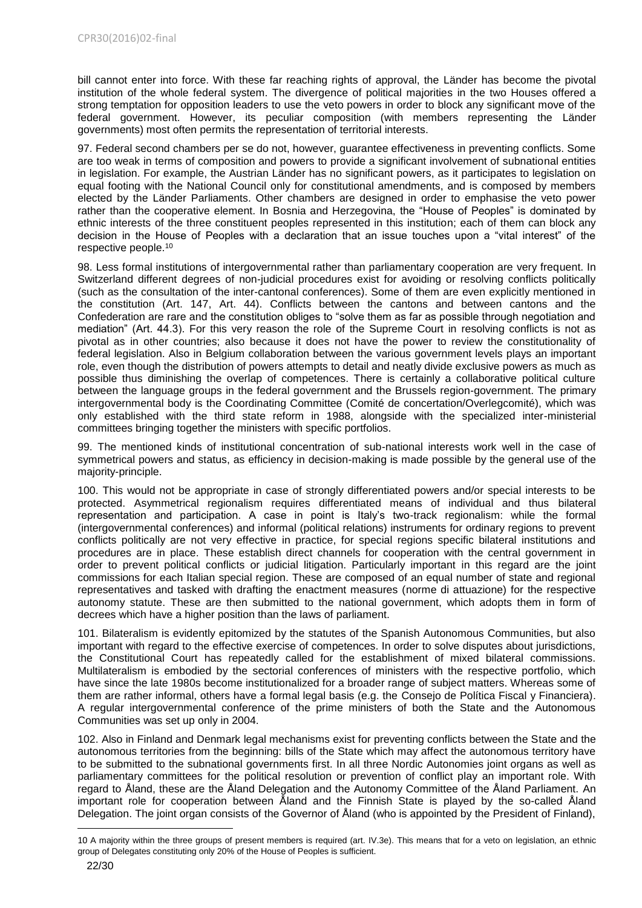bill cannot enter into force. With these far reaching rights of approval, the Länder has become the pivotal institution of the whole federal system. The divergence of political majorities in the two Houses offered a strong temptation for opposition leaders to use the veto powers in order to block any significant move of the federal government. However, its peculiar composition (with members representing the Länder governments) most often permits the representation of territorial interests.

97. Federal second chambers per se do not, however, guarantee effectiveness in preventing conflicts. Some are too weak in terms of composition and powers to provide a significant involvement of subnational entities in legislation. For example, the Austrian Länder has no significant powers, as it participates to legislation on equal footing with the National Council only for constitutional amendments, and is composed by members elected by the Länder Parliaments. Other chambers are designed in order to emphasise the veto power rather than the cooperative element. In Bosnia and Herzegovina, the "House of Peoples" is dominated by ethnic interests of the three constituent peoples represented in this institution; each of them can block any decision in the House of Peoples with a declaration that an issue touches upon a "vital interest" of the respective people.<sup>10</sup>

98. Less formal institutions of intergovernmental rather than parliamentary cooperation are very frequent. In Switzerland different degrees of non-judicial procedures exist for avoiding or resolving conflicts politically (such as the consultation of the inter-cantonal conferences). Some of them are even explicitly mentioned in the constitution (Art. 147, Art. 44). Conflicts between the cantons and between cantons and the Confederation are rare and the constitution obliges to "solve them as far as possible through negotiation and mediation" (Art. 44.3). For this very reason the role of the Supreme Court in resolving conflicts is not as pivotal as in other countries; also because it does not have the power to review the constitutionality of federal legislation. Also in Belgium collaboration between the various government levels plays an important role, even though the distribution of powers attempts to detail and neatly divide exclusive powers as much as possible thus diminishing the overlap of competences. There is certainly a collaborative political culture between the language groups in the federal government and the Brussels region-government. The primary intergovernmental body is the Coordinating Committee (Comité de concertation/Overlegcomité), which was only established with the third state reform in 1988, alongside with the specialized inter-ministerial committees bringing together the ministers with specific portfolios.

99. The mentioned kinds of institutional concentration of sub-national interests work well in the case of symmetrical powers and status, as efficiency in decision-making is made possible by the general use of the majority-principle.

100. This would not be appropriate in case of strongly differentiated powers and/or special interests to be protected. Asymmetrical regionalism requires differentiated means of individual and thus bilateral representation and participation. A case in point is Italy's two-track regionalism: while the formal (intergovernmental conferences) and informal (political relations) instruments for ordinary regions to prevent conflicts politically are not very effective in practice, for special regions specific bilateral institutions and procedures are in place. These establish direct channels for cooperation with the central government in order to prevent political conflicts or judicial litigation. Particularly important in this regard are the joint commissions for each Italian special region. These are composed of an equal number of state and regional representatives and tasked with drafting the enactment measures (norme di attuazione) for the respective autonomy statute. These are then submitted to the national government, which adopts them in form of decrees which have a higher position than the laws of parliament.

101. Bilateralism is evidently epitomized by the statutes of the Spanish Autonomous Communities, but also important with regard to the effective exercise of competences. In order to solve disputes about jurisdictions, the Constitutional Court has repeatedly called for the establishment of mixed bilateral commissions. Multilateralism is embodied by the sectorial conferences of ministers with the respective portfolio, which have since the late 1980s become institutionalized for a broader range of subject matters. Whereas some of them are rather informal, others have a formal legal basis (e.g. the Consejo de Política Fiscal y Financiera). A regular intergovernmental conference of the prime ministers of both the State and the Autonomous Communities was set up only in 2004.

102. Also in Finland and Denmark legal mechanisms exist for preventing conflicts between the State and the autonomous territories from the beginning: bills of the State which may affect the autonomous territory have to be submitted to the subnational governments first. In all three Nordic Autonomies joint organs as well as parliamentary committees for the political resolution or prevention of conflict play an important role. With regard to Åland, these are the Åland Delegation and the Autonomy Committee of the Åland Parliament. An important role for cooperation between Åland and the Finnish State is played by the so-called Åland Delegation. The joint organ consists of the Governor of Åland (who is appointed by the President of Finland),

1

<sup>10</sup> A majority within the three groups of present members is required (art. IV.3e). This means that for a veto on legislation, an ethnic group of Delegates constituting only 20% of the House of Peoples is sufficient.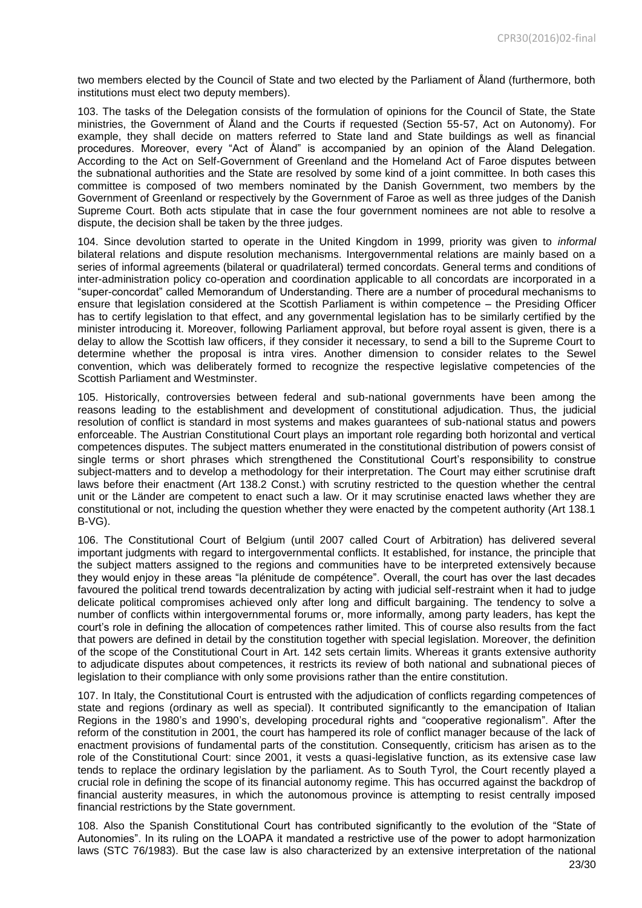two members elected by the Council of State and two elected by the Parliament of Åland (furthermore, both institutions must elect two deputy members).

103. The tasks of the Delegation consists of the formulation of opinions for the Council of State, the State ministries, the Government of Åland and the Courts if requested (Section 55-57, Act on Autonomy). For example, they shall decide on matters referred to State land and State buildings as well as financial procedures. Moreover, every "Act of Åland" is accompanied by an opinion of the Åland Delegation. According to the Act on Self-Government of Greenland and the Homeland Act of Faroe disputes between the subnational authorities and the State are resolved by some kind of a joint committee. In both cases this committee is composed of two members nominated by the Danish Government, two members by the Government of Greenland or respectively by the Government of Faroe as well as three judges of the Danish Supreme Court. Both acts stipulate that in case the four government nominees are not able to resolve a dispute, the decision shall be taken by the three judges.

104. Since devolution started to operate in the United Kingdom in 1999, priority was given to *informal* bilateral relations and dispute resolution mechanisms. Intergovernmental relations are mainly based on a series of informal agreements (bilateral or quadrilateral) termed concordats. General terms and conditions of inter-administration policy co-operation and coordination applicable to all concordats are incorporated in a "super-concordat" called Memorandum of Understanding. There are a number of procedural mechanisms to ensure that legislation considered at the Scottish Parliament is within competence – the Presiding Officer has to certify legislation to that effect, and any governmental legislation has to be similarly certified by the minister introducing it. Moreover, following Parliament approval, but before royal assent is given, there is a delay to allow the Scottish law officers, if they consider it necessary, to send a bill to the Supreme Court to determine whether the proposal is intra vires. Another dimension to consider relates to the Sewel convention, which was deliberately formed to recognize the respective legislative competencies of the Scottish Parliament and Westminster.

105. Historically, controversies between federal and sub-national governments have been among the reasons leading to the establishment and development of constitutional adjudication. Thus, the judicial resolution of conflict is standard in most systems and makes guarantees of sub-national status and powers enforceable. The Austrian Constitutional Court plays an important role regarding both horizontal and vertical competences disputes. The subject matters enumerated in the constitutional distribution of powers consist of single terms or short phrases which strengthened the Constitutional Court's responsibility to construe subject-matters and to develop a methodology for their interpretation. The Court may either scrutinise draft laws before their enactment (Art 138.2 Const.) with scrutiny restricted to the question whether the central unit or the Länder are competent to enact such a law. Or it may scrutinise enacted laws whether they are constitutional or not, including the question whether they were enacted by the competent authority (Art 138.1 B-VG).

106. The Constitutional Court of Belgium (until 2007 called Court of Arbitration) has delivered several important judgments with regard to intergovernmental conflicts. It established, for instance, the principle that the subject matters assigned to the regions and communities have to be interpreted extensively because they would enjoy in these areas "la plénitude de compétence". Overall, the court has over the last decades favoured the political trend towards decentralization by acting with judicial self-restraint when it had to judge delicate political compromises achieved only after long and difficult bargaining. The tendency to solve a number of conflicts within intergovernmental forums or, more informally, among party leaders, has kept the court's role in defining the allocation of competences rather limited. This of course also results from the fact that powers are defined in detail by the constitution together with special legislation. Moreover, the definition of the scope of the Constitutional Court in Art. 142 sets certain limits. Whereas it grants extensive authority to adjudicate disputes about competences, it restricts its review of both national and subnational pieces of legislation to their compliance with only some provisions rather than the entire constitution.

107. In Italy, the Constitutional Court is entrusted with the adjudication of conflicts regarding competences of state and regions (ordinary as well as special). It contributed significantly to the emancipation of Italian Regions in the 1980's and 1990's, developing procedural rights and "cooperative regionalism". After the reform of the constitution in 2001, the court has hampered its role of conflict manager because of the lack of enactment provisions of fundamental parts of the constitution. Consequently, criticism has arisen as to the role of the Constitutional Court: since 2001, it vests a quasi-legislative function, as its extensive case law tends to replace the ordinary legislation by the parliament. As to South Tyrol, the Court recently played a crucial role in defining the scope of its financial autonomy regime. This has occurred against the backdrop of financial austerity measures, in which the autonomous province is attempting to resist centrally imposed financial restrictions by the State government.

108. Also the Spanish Constitutional Court has contributed significantly to the evolution of the "State of Autonomies". In its ruling on the LOAPA it mandated a restrictive use of the power to adopt harmonization laws (STC 76/1983). But the case law is also characterized by an extensive interpretation of the national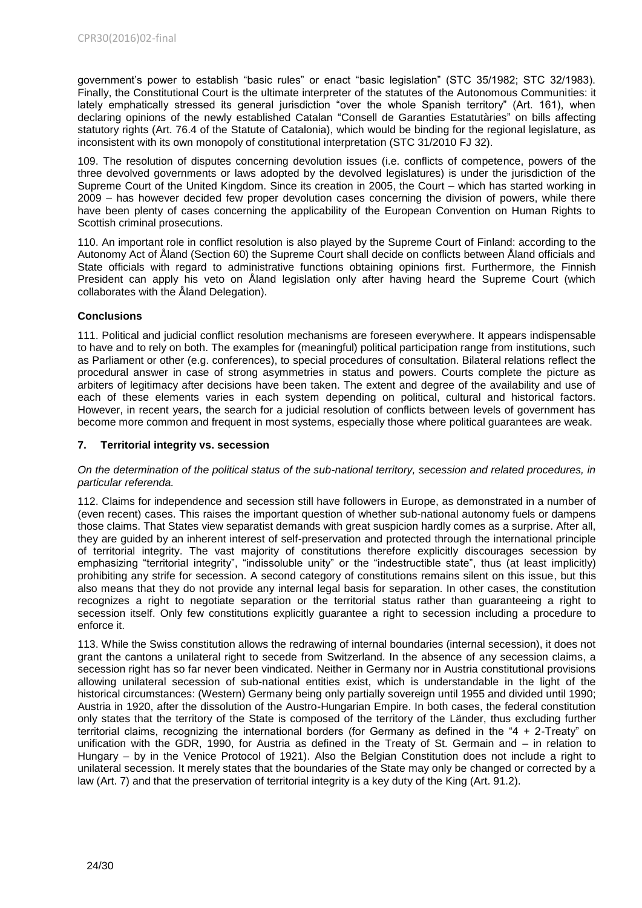government's power to establish "basic rules" or enact "basic legislation" (STC 35/1982; STC 32/1983). Finally, the Constitutional Court is the ultimate interpreter of the statutes of the Autonomous Communities: it lately emphatically stressed its general jurisdiction "over the whole Spanish territory" (Art. 161), when declaring opinions of the newly established Catalan "Consell de Garanties Estatutàries" on bills affecting statutory rights (Art. 76.4 of the Statute of Catalonia), which would be binding for the regional legislature, as inconsistent with its own monopoly of constitutional interpretation (STC 31/2010 FJ 32).

109. The resolution of disputes concerning devolution issues (i.e. conflicts of competence, powers of the three devolved governments or laws adopted by the devolved legislatures) is under the jurisdiction of the Supreme Court of the United Kingdom. Since its creation in 2005, the Court – which has started working in 2009 – has however decided few proper devolution cases concerning the division of powers, while there have been plenty of cases concerning the applicability of the European Convention on Human Rights to Scottish criminal prosecutions.

110. An important role in conflict resolution is also played by the Supreme Court of Finland: according to the Autonomy Act of Åland (Section 60) the Supreme Court shall decide on conflicts between Åland officials and State officials with regard to administrative functions obtaining opinions first. Furthermore, the Finnish President can apply his veto on Åland legislation only after having heard the Supreme Court (which collaborates with the Åland Delegation).

# **Conclusions**

111. Political and judicial conflict resolution mechanisms are foreseen everywhere. It appears indispensable to have and to rely on both. The examples for (meaningful) political participation range from institutions, such as Parliament or other (e.g. conferences), to special procedures of consultation. Bilateral relations reflect the procedural answer in case of strong asymmetries in status and powers. Courts complete the picture as arbiters of legitimacy after decisions have been taken. The extent and degree of the availability and use of each of these elements varies in each system depending on political, cultural and historical factors. However, in recent years, the search for a judicial resolution of conflicts between levels of government has become more common and frequent in most systems, especially those where political guarantees are weak.

# <span id="page-23-0"></span>**7. Territorial integrity vs. secession**

#### *On the determination of the political status of the sub-national territory, secession and related procedures, in particular referenda.*

112. Claims for independence and secession still have followers in Europe, as demonstrated in a number of (even recent) cases. This raises the important question of whether sub-national autonomy fuels or dampens those claims. That States view separatist demands with great suspicion hardly comes as a surprise. After all, they are guided by an inherent interest of self-preservation and protected through the international principle of territorial integrity. The vast majority of constitutions therefore explicitly discourages secession by emphasizing "territorial integrity", "indissoluble unity" or the "indestructible state", thus (at least implicitly) prohibiting any strife for secession. A second category of constitutions remains silent on this issue, but this also means that they do not provide any internal legal basis for separation. In other cases, the constitution recognizes a right to negotiate separation or the territorial status rather than guaranteeing a right to secession itself. Only few constitutions explicitly guarantee a right to secession including a procedure to enforce it.

113. While the Swiss constitution allows the redrawing of internal boundaries (internal secession), it does not grant the cantons a unilateral right to secede from Switzerland. In the absence of any secession claims, a secession right has so far never been vindicated. Neither in Germany nor in Austria constitutional provisions allowing unilateral secession of sub-national entities exist, which is understandable in the light of the historical circumstances: (Western) Germany being only partially sovereign until 1955 and divided until 1990; Austria in 1920, after the dissolution of the Austro-Hungarian Empire. In both cases, the federal constitution only states that the territory of the State is composed of the territory of the Länder, thus excluding further territorial claims, recognizing the international borders (for Germany as defined in the "4 + 2-Treaty" on unification with the GDR, 1990, for Austria as defined in the Treaty of St. Germain and – in relation to Hungary – by in the Venice Protocol of 1921). Also the Belgian Constitution does not include a right to unilateral secession. It merely states that the boundaries of the State may only be changed or corrected by a law (Art. 7) and that the preservation of territorial integrity is a key duty of the King (Art. 91.2).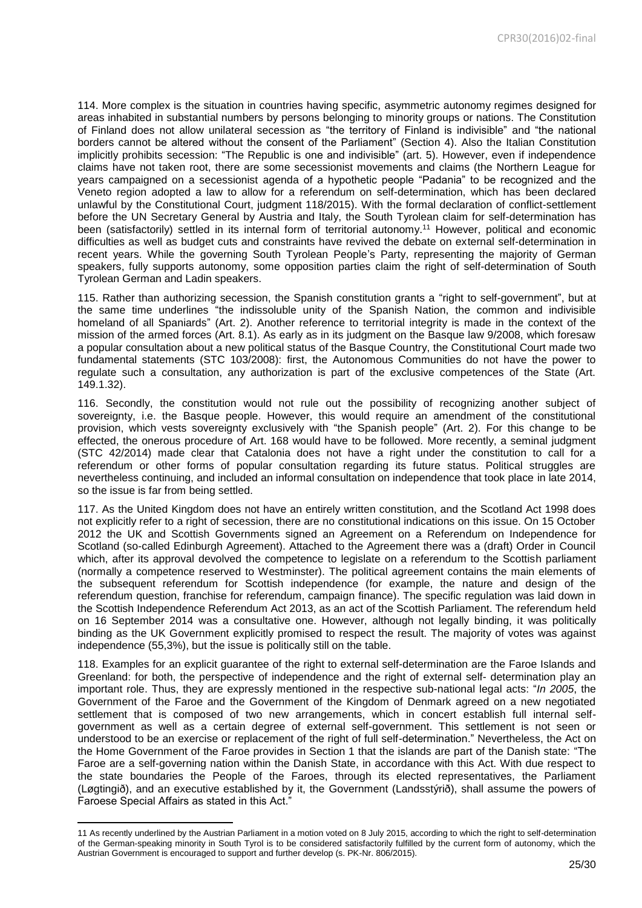114. More complex is the situation in countries having specific, asymmetric autonomy regimes designed for areas inhabited in substantial numbers by persons belonging to minority groups or nations. The Constitution of Finland does not allow unilateral secession as "the territory of Finland is indivisible" and "the national borders cannot be altered without the consent of the Parliament" (Section 4). Also the Italian Constitution implicitly prohibits secession: "The Republic is one and indivisible" (art. 5). However, even if independence claims have not taken root, there are some secessionist movements and claims (the Northern League for years campaigned on a secessionist agenda of a hypothetic people "Padania" to be recognized and the Veneto region adopted a law to allow for a referendum on self-determination, which has been declared unlawful by the Constitutional Court, judgment 118/2015). With the formal declaration of conflict-settlement before the UN Secretary General by Austria and Italy, the South Tyrolean claim for self-determination has been (satisfactorily) settled in its internal form of territorial autonomy. <sup>11</sup> However, political and economic difficulties as well as budget cuts and constraints have revived the debate on external self-determination in recent years. While the governing South Tyrolean People's Party, representing the majority of German speakers, fully supports autonomy, some opposition parties claim the right of self-determination of South Tyrolean German and Ladin speakers.

115. Rather than authorizing secession, the Spanish constitution grants a "right to self-government", but at the same time underlines "the indissoluble unity of the Spanish Nation, the common and indivisible homeland of all Spaniards" (Art. 2). Another reference to territorial integrity is made in the context of the mission of the armed forces (Art. 8.1). As early as in its judgment on the Basque law 9/2008, which foresaw a popular consultation about a new political status of the Basque Country, the Constitutional Court made two fundamental statements (STC 103/2008): first, the Autonomous Communities do not have the power to regulate such a consultation, any authorization is part of the exclusive competences of the State (Art. 149.1.32).

116. Secondly, the constitution would not rule out the possibility of recognizing another subject of sovereignty, i.e. the Basque people. However, this would require an amendment of the constitutional provision, which vests sovereignty exclusively with "the Spanish people" (Art. 2). For this change to be effected, the onerous procedure of Art. 168 would have to be followed. More recently, a seminal judgment (STC 42/2014) made clear that Catalonia does not have a right under the constitution to call for a referendum or other forms of popular consultation regarding its future status. Political struggles are nevertheless continuing, and included an informal consultation on independence that took place in late 2014, so the issue is far from being settled.

117. As the United Kingdom does not have an entirely written constitution, and the Scotland Act 1998 does not explicitly refer to a right of secession, there are no constitutional indications on this issue. On 15 October 2012 the UK and Scottish Governments signed an Agreement on a Referendum on Independence for Scotland (so-called Edinburgh Agreement). Attached to the Agreement there was a (draft) Order in Council which, after its approval devolved the competence to legislate on a referendum to the Scottish parliament (normally a competence reserved to Westminster). The political agreement contains the main elements of the subsequent referendum for Scottish independence (for example, the nature and design of the referendum question, franchise for referendum, campaign finance). The specific regulation was laid down in the Scottish Independence Referendum Act 2013, as an act of the Scottish Parliament. The referendum held on 16 September 2014 was a consultative one. However, although not legally binding, it was politically binding as the UK Government explicitly promised to respect the result. The majority of votes was against independence (55,3%), but the issue is politically still on the table.

118. Examples for an explicit guarantee of the right to external self-determination are the Faroe Islands and Greenland: for both, the perspective of independence and the right of external self- determination play an important role. Thus, they are expressly mentioned in the respective sub-national legal acts: "*In 2005*, the Government of the Faroe and the Government of the Kingdom of Denmark agreed on a new negotiated settlement that is composed of two new arrangements, which in concert establish full internal selfgovernment as well as a certain degree of external self-government. This settlement is not seen or understood to be an exercise or replacement of the right of full self-determination." Nevertheless, the Act on the Home Government of the Faroe provides in Section 1 that the islands are part of the Danish state: "The Faroe are a self-governing nation within the Danish State, in accordance with this Act. With due respect to the state boundaries the People of the Faroes, through its elected representatives, the Parliament (Løgtingið), and an executive established by it, the Government (Landsstýrið), shall assume the powers of Faroese Special Affairs as stated in this Act."

**.** 

<sup>11</sup> As recently underlined by the Austrian Parliament in a motion voted on 8 July 2015, according to which the right to self-determination of the German-speaking minority in South Tyrol is to be considered satisfactorily fulfilled by the current form of autonomy, which the Austrian Government is encouraged to support and further develop (s. PK-Nr. 806/2015).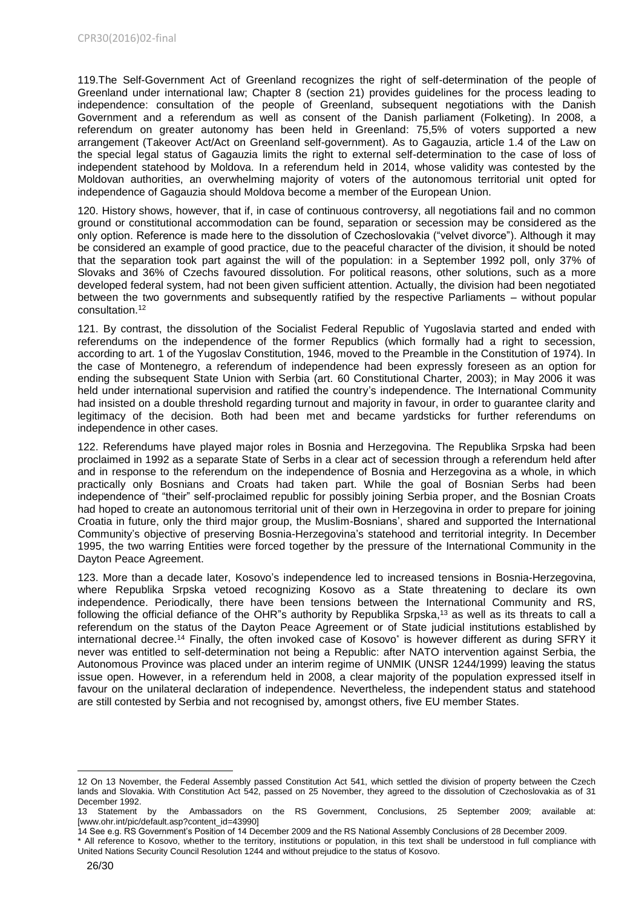119.The Self-Government Act of Greenland recognizes the right of self-determination of the people of Greenland under international law; Chapter 8 (section 21) provides guidelines for the process leading to independence: consultation of the people of Greenland, subsequent negotiations with the Danish Government and a referendum as well as consent of the Danish parliament (Folketing). In 2008, a referendum on greater autonomy has been held in Greenland: 75,5% of voters supported a new arrangement (Takeover Act/Act on Greenland self-government). As to Gagauzia, article 1.4 of the Law on the special legal status of Gagauzia limits the right to external self-determination to the case of loss of independent statehood by Moldova. In a referendum held in 2014, whose validity was contested by the Moldovan authorities, an overwhelming majority of voters of the autonomous territorial unit opted for independence of Gagauzia should Moldova become a member of the European Union.

120. History shows, however, that if, in case of continuous controversy, all negotiations fail and no common ground or constitutional accommodation can be found, separation or secession may be considered as the only option. Reference is made here to the dissolution of Czechoslovakia ("velvet divorce"). Although it may be considered an example of good practice, due to the peaceful character of the division, it should be noted that the separation took part against the will of the population: in a September 1992 poll, only 37% of Slovaks and 36% of Czechs favoured dissolution. For political reasons, other solutions, such as a more developed federal system, had not been given sufficient attention. Actually, the division had been negotiated between the two governments and subsequently ratified by the respective Parliaments – without popular consultation.<sup>12</sup>

121. By contrast, the dissolution of the Socialist Federal Republic of Yugoslavia started and ended with referendums on the independence of the former Republics (which formally had a right to secession, according to art. 1 of the Yugoslav Constitution, 1946, moved to the Preamble in the Constitution of 1974). In the case of Montenegro, a referendum of independence had been expressly foreseen as an option for ending the subsequent State Union with Serbia (art. 60 Constitutional Charter, 2003); in May 2006 it was held under international supervision and ratified the country's independence. The International Community had insisted on a double threshold regarding turnout and majority in favour, in order to guarantee clarity and legitimacy of the decision. Both had been met and became yardsticks for further referendums on independence in other cases.

122. Referendums have played major roles in Bosnia and Herzegovina. The Republika Srpska had been proclaimed in 1992 as a separate State of Serbs in a clear act of secession through a referendum held after and in response to the referendum on the independence of Bosnia and Herzegovina as a whole, in which practically only Bosnians and Croats had taken part. While the goal of Bosnian Serbs had been independence of "their" self-proclaimed republic for possibly joining Serbia proper, and the Bosnian Croats had hoped to create an autonomous territorial unit of their own in Herzegovina in order to prepare for joining Croatia in future, only the third major group, the Muslim-Bosnians', shared and supported the International Community's objective of preserving Bosnia-Herzegovina's statehood and territorial integrity. In December 1995, the two warring Entities were forced together by the pressure of the International Community in the Dayton Peace Agreement.

123. More than a decade later, Kosovo's independence led to increased tensions in Bosnia-Herzegovina, where Republika Srpska vetoed recognizing Kosovo as a State threatening to declare its own independence. Periodically, there have been tensions between the International Community and RS, following the official defiance of the OHR"s authority by Republika Srpska,<sup>13</sup> as well as its threats to call a referendum on the status of the Dayton Peace Agreement or of State judicial institutions established by international decree.<sup>14</sup> Finally, the often invoked case of Kosovo<sup>\*</sup> is however different as during SFRY it never was entitled to self-determination not being a Republic: after NATO intervention against Serbia, the Autonomous Province was placed under an interim regime of UNMIK (UNSR 1244/1999) leaving the status issue open. However, in a referendum held in 2008, a clear majority of the population expressed itself in favour on the unilateral declaration of independence. Nevertheless, the independent status and statehood are still contested by Serbia and not recognised by, amongst others, five EU member States.

**<sup>.</sup>** 12 On 13 November, the Federal Assembly passed Constitution Act 541, which settled the division of property between the Czech lands and Slovakia. With Constitution Act 542, passed on 25 November, they agreed to the dissolution of Czechoslovakia as of 31 December 1992.

<sup>13</sup> Statement by the Ambassadors on the RS Government, Conclusions, 25 September 2009; available at: [www.ohr.int/pic/default.asp?content\_id=43990]

<sup>14</sup> See e.g. RS Government's Position of 14 December 2009 and the RS National Assembly Conclusions of 28 December 2009.

All reference to Kosovo, whether to the territory, institutions or population, in this text shall be understood in full compliance with United Nations Security Council Resolution 1244 and without prejudice to the status of Kosovo.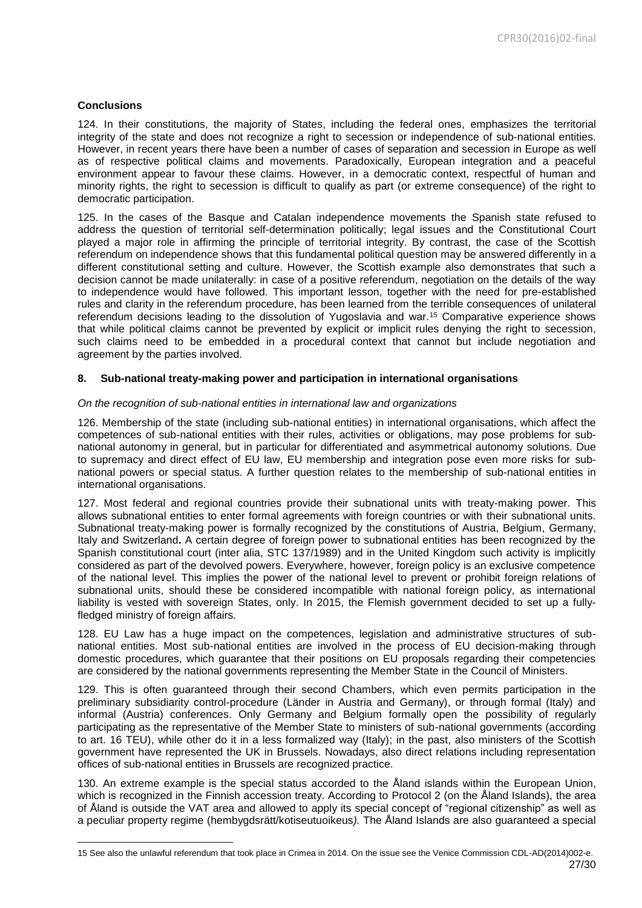# **Conclusions**

**.** 

124. In their constitutions, the majority of States, including the federal ones, emphasizes the territorial integrity of the state and does not recognize a right to secession or independence of sub-national entities. However, in recent years there have been a number of cases of separation and secession in Europe as well as of respective political claims and movements. Paradoxically, European integration and a peaceful environment appear to favour these claims. However, in a democratic context, respectful of human and minority rights, the right to secession is difficult to qualify as part (or extreme consequence) of the right to democratic participation.

125. In the cases of the Basque and Catalan independence movements the Spanish state refused to address the question of territorial self-determination politically; legal issues and the Constitutional Court played a major role in affirming the principle of territorial integrity. By contrast, the case of the Scottish referendum on independence shows that this fundamental political question may be answered differently in a different constitutional setting and culture. However, the Scottish example also demonstrates that such a decision cannot be made unilaterally: in case of a positive referendum, negotiation on the details of the way to independence would have followed. This important lesson, together with the need for pre-established rules and clarity in the referendum procedure, has been learned from the terrible consequences of unilateral referendum decisions leading to the dissolution of Yugoslavia and war.<sup>15</sup> Comparative experience shows that while political claims cannot be prevented by explicit or implicit rules denying the right to secession, such claims need to be embedded in a procedural context that cannot but include negotiation and agreement by the parties involved.

#### <span id="page-26-0"></span>**8. Sub-national treaty-making power and participation in international organisations**

#### *On the recognition of sub-national entities in international law and organizations*

126. Membership of the state (including sub-national entities) in international organisations, which affect the competences of sub-national entities with their rules, activities or obligations, may pose problems for subnational autonomy in general, but in particular for differentiated and asymmetrical autonomy solutions. Due to supremacy and direct effect of EU law, EU membership and integration pose even more risks for subnational powers or special status. A further question relates to the membership of sub-national entities in international organisations.

127. Most federal and regional countries provide their subnational units with treaty-making power. This allows subnational entities to enter formal agreements with foreign countries or with their subnational units. Subnational treaty-making power is formally recognized by the constitutions of Austria, Belgium, Germany, Italy and Switzerland**.** A certain degree of foreign power to subnational entities has been recognized by the Spanish constitutional court (inter alia, STC 137/1989) and in the United Kingdom such activity is implicitly considered as part of the devolved powers. Everywhere, however, foreign policy is an exclusive competence of the national level. This implies the power of the national level to prevent or prohibit foreign relations of subnational units, should these be considered incompatible with national foreign policy, as international liability is vested with sovereign States, only. In 2015, the Flemish government decided to set up a fullyfledged ministry of foreign affairs.

128. EU Law has a huge impact on the competences, legislation and administrative structures of subnational entities. Most sub-national entities are involved in the process of EU decision-making through domestic procedures, which guarantee that their positions on EU proposals regarding their competencies are considered by the national governments representing the Member State in the Council of Ministers.

129. This is often guaranteed through their second Chambers, which even permits participation in the preliminary subsidiarity control-procedure (Länder in Austria and Germany), or through formal (Italy) and informal (Austria) conferences. Only Germany and Belgium formally open the possibility of regularly participating as the representative of the Member State to ministers of sub-national governments (according to art. 16 TEU), while other do it in a less formalized way (Italy); in the past, also ministers of the Scottish government have represented the UK in Brussels. Nowadays, also direct relations including representation offices of sub-national entities in Brussels are recognized practice.

130. An extreme example is the special status accorded to the Åland islands within the European Union, which is recognized in the Finnish accession treaty. According to Protocol 2 (on the Åland Islands), the area of Åland is outside the VAT area and allowed to apply its special concept of "regional citizenship" as well as a peculiar property regime (hembygdsrätt/kotiseutuoikeus*).* The Åland Islands are also guaranteed a special

<sup>27/30</sup> 15 See also the unlawful referendum that took place in Crimea in 2014. On the issue see the Venice Commission CDL-AD(2014)002-e.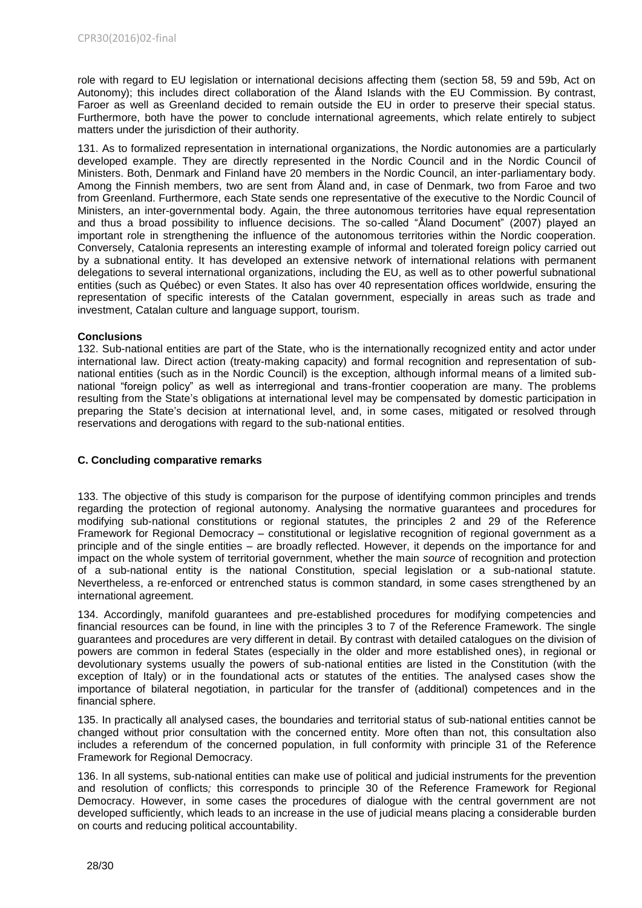role with regard to EU legislation or international decisions affecting them (section 58, 59 and 59b, Act on Autonomy); this includes direct collaboration of the Åland Islands with the EU Commission. By contrast, Faroer as well as Greenland decided to remain outside the EU in order to preserve their special status. Furthermore, both have the power to conclude international agreements, which relate entirely to subject matters under the jurisdiction of their authority.

131. As to formalized representation in international organizations, the Nordic autonomies are a particularly developed example. They are directly represented in the Nordic Council and in the Nordic Council of Ministers. Both, Denmark and Finland have 20 members in the Nordic Council, an inter-parliamentary body. Among the Finnish members, two are sent from Åland and, in case of Denmark, two from Faroe and two from Greenland. Furthermore, each State sends one representative of the executive to the Nordic Council of Ministers, an inter-governmental body. Again, the three autonomous territories have equal representation and thus a broad possibility to influence decisions. The so-called "Åland Document" (2007) played an important role in strengthening the influence of the autonomous territories within the Nordic cooperation. Conversely, Catalonia represents an interesting example of informal and tolerated foreign policy carried out by a subnational entity. It has developed an extensive network of international relations with permanent delegations to several international organizations, including the EU, as well as to other powerful subnational entities (such as Québec) or even States. It also has over 40 representation offices worldwide, ensuring the representation of specific interests of the Catalan government, especially in areas such as trade and investment, Catalan culture and language support, tourism.

# **Conclusions**

132. Sub-national entities are part of the State, who is the internationally recognized entity and actor under international law. Direct action (treaty-making capacity) and formal recognition and representation of subnational entities (such as in the Nordic Council) is the exception, although informal means of a limited subnational "foreign policy" as well as interregional and trans-frontier cooperation are many. The problems resulting from the State's obligations at international level may be compensated by domestic participation in preparing the State's decision at international level, and, in some cases, mitigated or resolved through reservations and derogations with regard to the sub-national entities.

# <span id="page-27-0"></span>**C. Concluding comparative remarks**

133. The objective of this study is comparison for the purpose of identifying common principles and trends regarding the protection of regional autonomy. Analysing the normative guarantees and procedures for modifying sub-national constitutions or regional statutes, the principles 2 and 29 of the Reference Framework for Regional Democracy – constitutional or legislative recognition of regional government as a principle and of the single entities – are broadly reflected. However, it depends on the importance for and impact on the whole system of territorial government, whether the main *source* of recognition and protection of a sub-national entity is the national Constitution, special legislation or a sub-national statute. Nevertheless, a re-enforced or entrenched status is common standard*,* in some cases strengthened by an international agreement.

134. Accordingly, manifold guarantees and pre-established procedures for modifying competencies and financial resources can be found, in line with the principles 3 to 7 of the Reference Framework. The single guarantees and procedures are very different in detail. By contrast with detailed catalogues on the division of powers are common in federal States (especially in the older and more established ones), in regional or devolutionary systems usually the powers of sub-national entities are listed in the Constitution (with the exception of Italy) or in the foundational acts or statutes of the entities. The analysed cases show the importance of bilateral negotiation, in particular for the transfer of (additional) competences and in the financial sphere.

135. In practically all analysed cases, the boundaries and territorial status of sub-national entities cannot be changed without prior consultation with the concerned entity. More often than not, this consultation also includes a referendum of the concerned population, in full conformity with principle 31 of the Reference Framework for Regional Democracy.

136. In all systems, sub-national entities can make use of political and judicial instruments for the prevention and resolution of conflicts*;* this corresponds to principle 30 of the Reference Framework for Regional Democracy. However, in some cases the procedures of dialogue with the central government are not developed sufficiently, which leads to an increase in the use of judicial means placing a considerable burden on courts and reducing political accountability.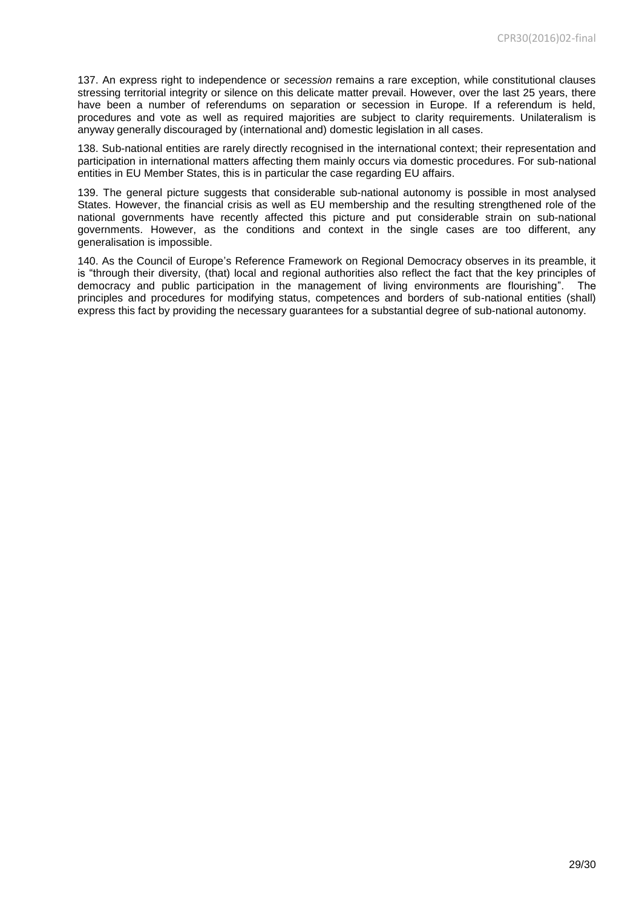137. An express right to independence or *secession* remains a rare exception, while constitutional clauses stressing territorial integrity or silence on this delicate matter prevail. However, over the last 25 years, there have been a number of referendums on separation or secession in Europe. If a referendum is held, procedures and vote as well as required majorities are subject to clarity requirements. Unilateralism is anyway generally discouraged by (international and) domestic legislation in all cases.

138. Sub-national entities are rarely directly recognised in the international context; their representation and participation in international matters affecting them mainly occurs via domestic procedures. For sub-national entities in EU Member States, this is in particular the case regarding EU affairs.

139. The general picture suggests that considerable sub-national autonomy is possible in most analysed States. However, the financial crisis as well as EU membership and the resulting strengthened role of the national governments have recently affected this picture and put considerable strain on sub-national governments. However, as the conditions and context in the single cases are too different, any generalisation is impossible.

140. As the Council of Europe's Reference Framework on Regional Democracy observes in its preamble, it is "through their diversity, (that) local and regional authorities also reflect the fact that the key principles of democracy and public participation in the management of living environments are flourishing". The principles and procedures for modifying status, competences and borders of sub-national entities (shall) express this fact by providing the necessary guarantees for a substantial degree of sub-national autonomy.